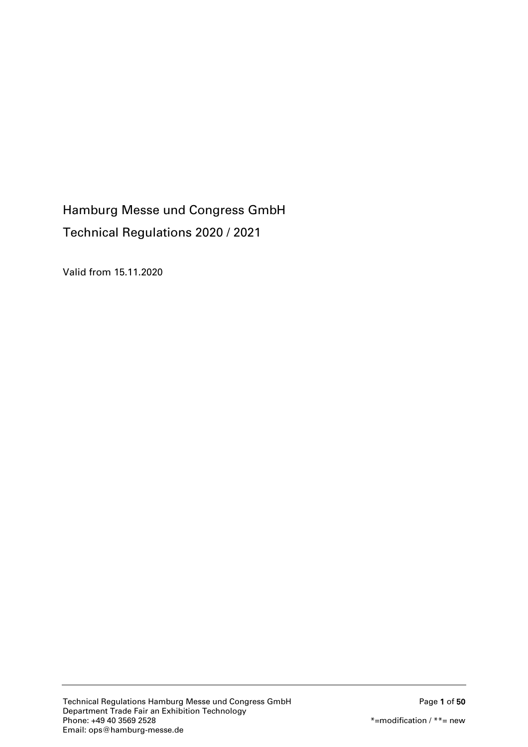# Hamburg Messe und Congress GmbH Technical Regulations 2020 / 2021

Valid from 15.11.2020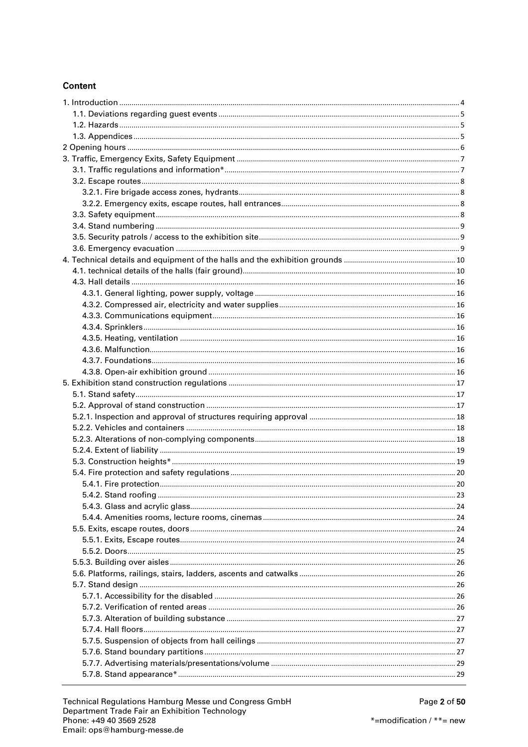# Content

| . 23 |
|------|
|      |
|      |
|      |
|      |
|      |
|      |
|      |
|      |
|      |
|      |
|      |
|      |
|      |
|      |
|      |
|      |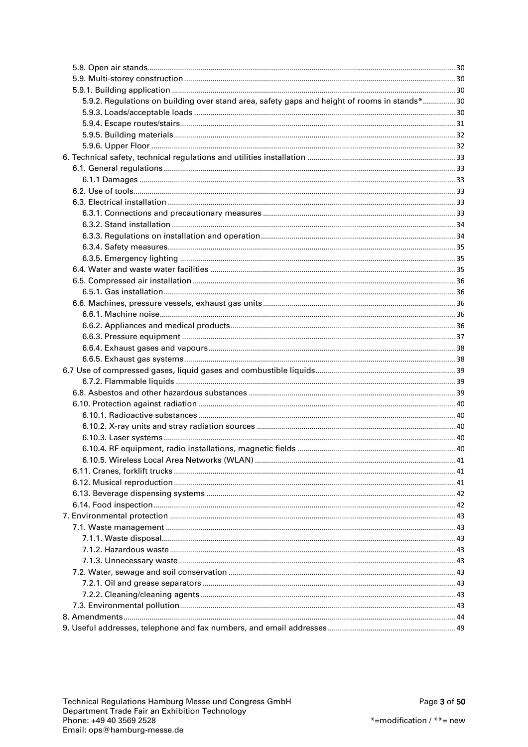<span id="page-2-0"></span>

| 5.9.2. Regulations on building over stand area, safety gaps and height of rooms in stands* 30 |  |
|-----------------------------------------------------------------------------------------------|--|
|                                                                                               |  |
|                                                                                               |  |
|                                                                                               |  |
|                                                                                               |  |
|                                                                                               |  |
|                                                                                               |  |
|                                                                                               |  |
|                                                                                               |  |
|                                                                                               |  |
|                                                                                               |  |
|                                                                                               |  |
|                                                                                               |  |
|                                                                                               |  |
|                                                                                               |  |
|                                                                                               |  |
|                                                                                               |  |
|                                                                                               |  |
|                                                                                               |  |
|                                                                                               |  |
|                                                                                               |  |
|                                                                                               |  |
|                                                                                               |  |
|                                                                                               |  |
|                                                                                               |  |
|                                                                                               |  |
|                                                                                               |  |
|                                                                                               |  |
|                                                                                               |  |
|                                                                                               |  |
|                                                                                               |  |
|                                                                                               |  |
|                                                                                               |  |
|                                                                                               |  |
|                                                                                               |  |
|                                                                                               |  |
|                                                                                               |  |
|                                                                                               |  |
|                                                                                               |  |
|                                                                                               |  |
|                                                                                               |  |
|                                                                                               |  |
|                                                                                               |  |
|                                                                                               |  |
|                                                                                               |  |
|                                                                                               |  |
|                                                                                               |  |
|                                                                                               |  |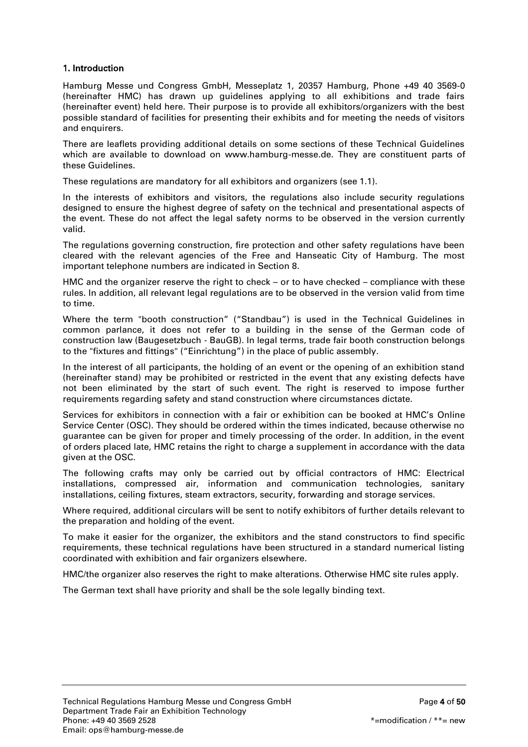# 1. Introduction

Hamburg Messe und Congress GmbH, Messeplatz 1, 20357 Hamburg, Phone +49 40 3569-0 (hereinafter HMC) has drawn up guidelines applying to all exhibitions and trade fairs (hereinafter event) held here. Their purpose is to provide all exhibitors/organizers with the best possible standard of facilities for presenting their exhibits and for meeting the needs of visitors and enquirers.

There are leaflets providing additional details on some sections of these Technical Guidelines which are available to download on www.hamburg-messe.de. They are constituent parts of these Guidelines.

These regulations are mandatory for all exhibitors and organizers (see 1.1).

In the interests of exhibitors and visitors, the regulations also include security regulations designed to ensure the highest degree of safety on the technical and presentational aspects of the event. These do not affect the legal safety norms to be observed in the version currently valid.

The regulations governing construction, fire protection and other safety regulations have been cleared with the relevant agencies of the Free and Hanseatic City of Hamburg. The most important telephone numbers are indicated in Section 8.

HMC and the organizer reserve the right to check – or to have checked – compliance with these rules. In addition, all relevant legal regulations are to be observed in the version valid from time to time.

Where the term "booth construction" ("Standbau") is used in the Technical Guidelines in common parlance, it does not refer to a building in the sense of the German code of construction law (Baugesetzbuch - BauGB). In legal terms, trade fair booth construction belongs to the "fixtures and fittings" ("Einrichtung") in the place of public assembly.

In the interest of all participants, the holding of an event or the opening of an exhibition stand (hereinafter stand) may be prohibited or restricted in the event that any existing defects have not been eliminated by the start of such event. The right is reserved to impose further requirements regarding safety and stand construction where circumstances dictate.

Services for exhibitors in connection with a fair or exhibition can be booked at HMC's Online Service Center (OSC). They should be ordered within the times indicated, because otherwise no guarantee can be given for proper and timely processing of the order. In addition, in the event of orders placed late, HMC retains the right to charge a supplement in accordance with the data given at the OSC.

The following crafts may only be carried out by official contractors of HMC: Electrical installations, compressed air, information and communication technologies, sanitary installations, ceiling fixtures, steam extractors, security, forwarding and storage services.

Where required, additional circulars will be sent to notify exhibitors of further details relevant to the preparation and holding of the event.

To make it easier for the organizer, the exhibitors and the stand constructors to find specific requirements, these technical regulations have been structured in a standard numerical listing coordinated with exhibition and fair organizers elsewhere.

HMC/the organizer also reserves the right to make alterations. Otherwise HMC site rules apply.

The German text shall have priority and shall be the sole legally binding text.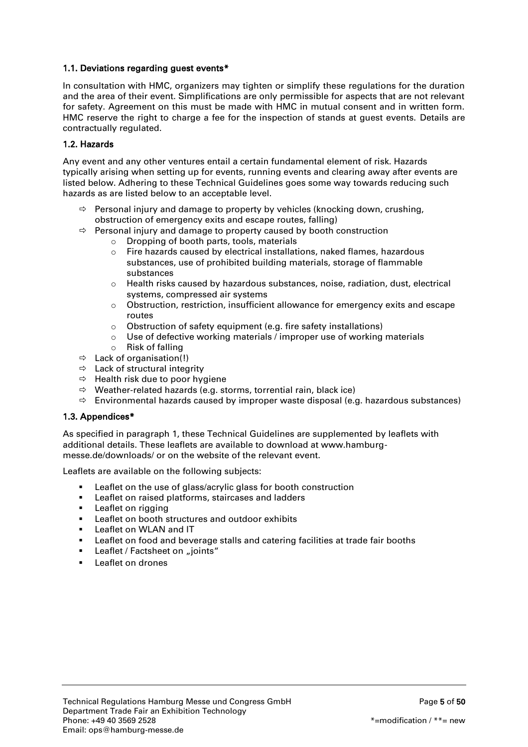# <span id="page-4-0"></span>1.1. Deviations regarding guest events\*

In consultation with HMC, organizers may tighten or simplify these regulations for the duration and the area of their event. Simplifications are only permissible for aspects that are not relevant for safety. Agreement on this must be made with HMC in mutual consent and in written form. HMC reserve the right to charge a fee for the inspection of stands at guest events. Details are contractually regulated.

## <span id="page-4-1"></span>1.2. Hazards

Any event and any other ventures entail a certain fundamental element of risk. Hazards typically arising when setting up for events, running events and clearing away after events are listed below. Adhering to these Technical Guidelines goes some way towards reducing such hazards as are listed below to an acceptable level.

- $\Rightarrow$  Personal injury and damage to property by vehicles (knocking down, crushing, obstruction of emergency exits and escape routes, falling)
- $\Rightarrow$  Personal injury and damage to property caused by booth construction
	- o Dropping of booth parts, tools, materials
	- $\circ$  Fire hazards caused by electrical installations, naked flames, hazardous substances, use of prohibited building materials, storage of flammable substances
	- $\circ$  Health risks caused by hazardous substances, noise, radiation, dust, electrical systems, compressed air systems
	- o Obstruction, restriction, insufficient allowance for emergency exits and escape routes
	- o Obstruction of safety equipment (e.g. fire safety installations)
	- o Use of defective working materials / improper use of working materials
	- o Risk of falling
- $\Rightarrow$  Lack of organisation(!)
- $\Rightarrow$  Lack of structural integrity
- $\Rightarrow$  Health risk due to poor hygiene
- $\Rightarrow$  Weather-related hazards (e.g. storms, torrential rain, black ice)
- $\Rightarrow$  Environmental hazards caused by improper waste disposal (e.g. hazardous substances)

#### <span id="page-4-2"></span>1.3. Appendices\*

As specified in paragraph 1, these Technical Guidelines are supplemented by leaflets with additional details. These leaflets are available to download at www.hamburgmesse.de/downloads/ or on the website of the relevant event.

Leaflets are available on the following subjects:

- **EXECTE:** Leaflet on the use of glass/acrylic glass for booth construction
- **EXECTE FIRE EXECTE** Leaflet on raised platforms, staircases and ladders
- **Leaflet on rigging**
- **EXECUTE:** Leaflet on booth structures and outdoor exhibits
- **Leaflet on WLAN and IT**
- Leaflet on food and beverage stalls and catering facilities at trade fair booths
- **Leaflet / Factsheet on**  $\mu$  **joints**"
- <span id="page-4-3"></span>Leaflet on drones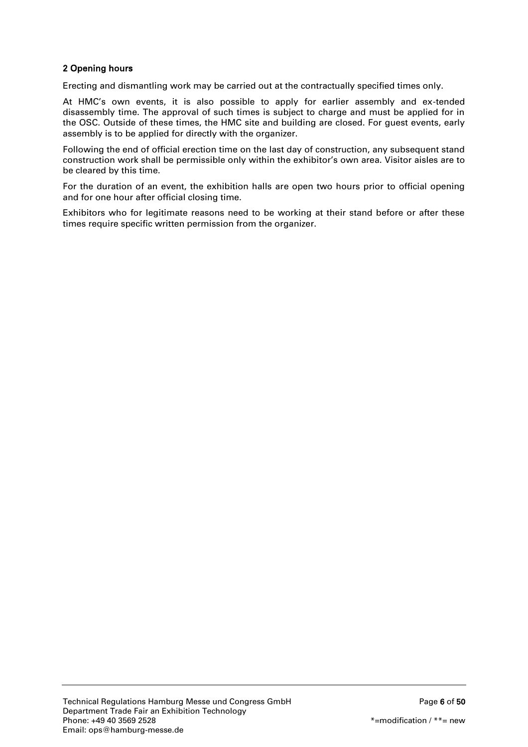# 2 Opening hours

Erecting and dismantling work may be carried out at the contractually specified times only.

At HMC's own events, it is also possible to apply for earlier assembly and ex-tended disassembly time. The approval of such times is subject to charge and must be applied for in the OSC. Outside of these times, the HMC site and building are closed. For guest events, early assembly is to be applied for directly with the organizer.

Following the end of official erection time on the last day of construction, any subsequent stand construction work shall be permissible only within the exhibitor's own area. Visitor aisles are to be cleared by this time.

For the duration of an event, the exhibition halls are open two hours prior to official opening and for one hour after official closing time.

Exhibitors who for legitimate reasons need to be working at their stand before or after these times require specific written permission from the organizer.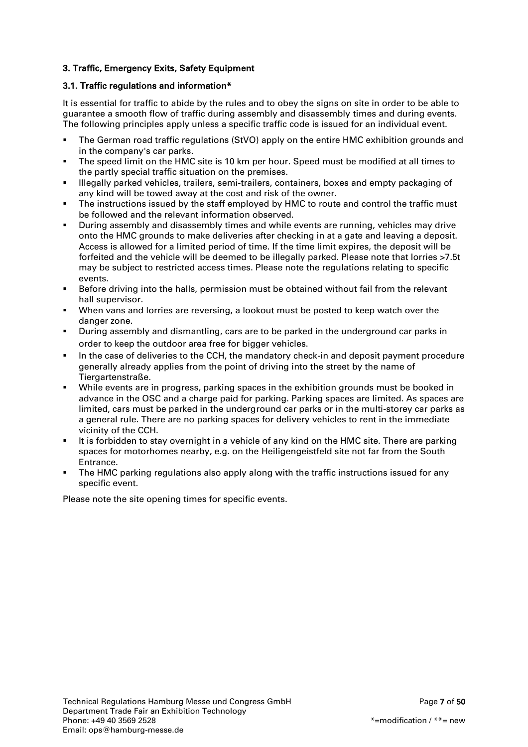# <span id="page-6-0"></span>3. Traffic, Emergency Exits, Safety Equipment

# <span id="page-6-1"></span>3.1. Traffic regulations and information\*

It is essential for traffic to abide by the rules and to obey the signs on site in order to be able to guarantee a smooth flow of traffic during assembly and disassembly times and during events. The following principles apply unless a specific traffic code is issued for an individual event.

- The German road traffic regulations (StVO) apply on the entire HMC exhibition grounds and in the company's car parks.
- The speed limit on the HMC site is 10 km per hour. Speed must be modified at all times to the partly special traffic situation on the premises.
- Illegally parked vehicles, trailers, semi-trailers, containers, boxes and empty packaging of any kind will be towed away at the cost and risk of the owner.
- The instructions issued by the staff employed by HMC to route and control the traffic must be followed and the relevant information observed.
- During assembly and disassembly times and while events are running, vehicles may drive onto the HMC grounds to make deliveries after checking in at a gate and leaving a deposit. Access is allowed for a limited period of time. If the time limit expires, the deposit will be forfeited and the vehicle will be deemed to be illegally parked. Please note that lorries >7.5t may be subject to restricted access times. Please note the regulations relating to specific events.
- Before driving into the halls, permission must be obtained without fail from the relevant hall supervisor.
- When vans and lorries are reversing, a lookout must be posted to keep watch over the danger zone.
- During assembly and dismantling, cars are to be parked in the underground car parks in order to keep the outdoor area free for bigger vehicles.
- In the case of deliveries to the CCH, the mandatory check-in and deposit payment procedure generally already applies from the point of driving into the street by the name of Tiergartenstraße.
- While events are in progress, parking spaces in the exhibition grounds must be booked in advance in the OSC and a charge paid for parking. Parking spaces are limited. As spaces are limited, cars must be parked in the underground car parks or in the multi-storey car parks as a general rule. There are no parking spaces for delivery vehicles to rent in the immediate vicinity of the CCH.
- It is forbidden to stay overnight in a vehicle of any kind on the HMC site. There are parking spaces for motorhomes nearby, e.g. on the Heiligengeistfeld site not far from the South Entrance.
- The HMC parking regulations also apply along with the traffic instructions issued for any specific event.

Please note the site opening times for specific events.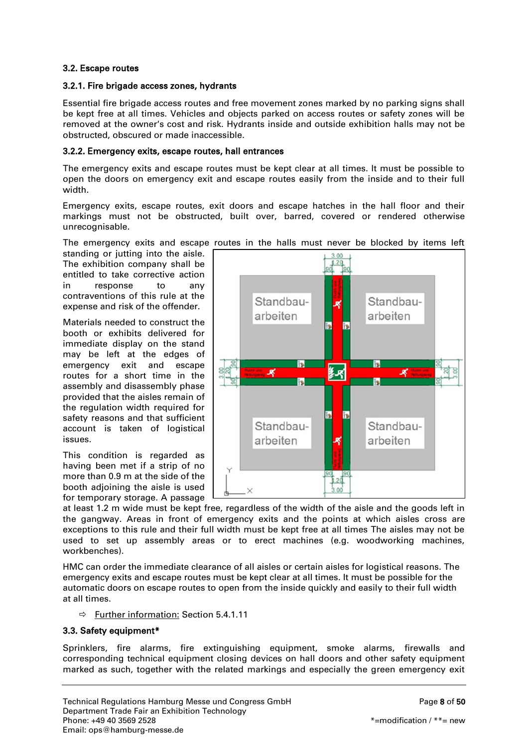## <span id="page-7-0"></span>3.2. Escape routes

## <span id="page-7-1"></span>3.2.1. Fire brigade access zones, hydrants

Essential fire brigade access routes and free movement zones marked by no parking signs shall be kept free at all times. Vehicles and objects parked on access routes or safety zones will be removed at the owner's cost and risk. Hydrants inside and outside exhibition halls may not be obstructed, obscured or made inaccessible.

## <span id="page-7-2"></span>3.2.2. Emergency exits, escape routes, hall entrances

The emergency exits and escape routes must be kept clear at all times. It must be possible to open the doors on emergency exit and escape routes easily from the inside and to their full width.

Emergency exits, escape routes, exit doors and escape hatches in the hall floor and their markings must not be obstructed, built over, barred, covered or rendered otherwise unrecognisable.

The emergency exits and escape routes in the halls must never be blocked by items left

standing or jutting into the aisle. The exhibition company shall be entitled to take corrective action in response to any contraventions of this rule at the expense and risk of the offender.

Materials needed to construct the booth or exhibits delivered for immediate display on the stand may be left at the edges of emergency exit and escape routes for a short time in the assembly and disassembly phase provided that the aisles remain of the regulation width required for safety reasons and that sufficient account is taken of logistical issues.

This condition is regarded as having been met if a strip of no more than 0.9 m at the side of the booth adjoining the aisle is used for temporary storage. A passage



at least 1.2 m wide must be kept free, regardless of the width of the aisle and the goods left in the gangway. Areas in front of emergency exits and the points at which aisles cross are exceptions to this rule and their full width must be kept free at all times The aisles may not be used to set up assembly areas or to erect machines (e.g. woodworking machines, workbenches).

HMC can order the immediate clearance of all aisles or certain aisles for logistical reasons. The emergency exits and escape routes must be kept clear at all times. It must be possible for the automatic doors on escape routes to open from the inside quickly and easily to their full width at all times.

 $\Rightarrow$  Further information: Section 5.4.1.11

# <span id="page-7-3"></span>3.3. Safety equipment\*

Sprinklers, fire alarms, fire extinguishing equipment, smoke alarms, firewalls and corresponding technical equipment closing devices on hall doors and other safety equipment marked as such, together with the related markings and especially the green emergency exit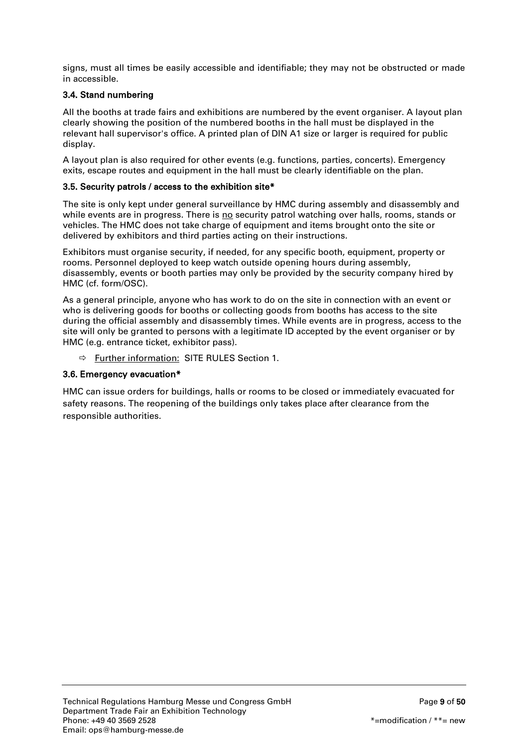signs, must all times be easily accessible and identifiable; they may not be obstructed or made in accessible.

# <span id="page-8-0"></span>3.4. Stand numbering

All the booths at trade fairs and exhibitions are numbered by the event organiser. A layout plan clearly showing the position of the numbered booths in the hall must be displayed in the relevant hall supervisor's office. A printed plan of DIN A1 size or larger is required for public display.

A layout plan is also required for other events (e.g. functions, parties, concerts). Emergency exits, escape routes and equipment in the hall must be clearly identifiable on the plan.

## <span id="page-8-1"></span>3.5. Security patrols / access to the exhibition site\*

The site is only kept under general surveillance by HMC during assembly and disassembly and while events are in progress. There is no security patrol watching over halls, rooms, stands or vehicles. The HMC does not take charge of equipment and items brought onto the site or delivered by exhibitors and third parties acting on their instructions.

Exhibitors must organise security, if needed, for any specific booth, equipment, property or rooms. Personnel deployed to keep watch outside opening hours during assembly, disassembly, events or booth parties may only be provided by the security company hired by HMC (cf. form/OSC).

As a general principle, anyone who has work to do on the site in connection with an event or who is delivering goods for booths or collecting goods from booths has access to the site during the official assembly and disassembly times. While events are in progress, access to the site will only be granted to persons with a legitimate ID accepted by the event organiser or by HMC (e.g. entrance ticket, exhibitor pass).

Further information: SITE RULES Section 1.

## <span id="page-8-2"></span>3.6. Emergency evacuation\*

HMC can issue orders for buildings, halls or rooms to be closed or immediately evacuated for safety reasons. The reopening of the buildings only takes place after clearance from the responsible authorities.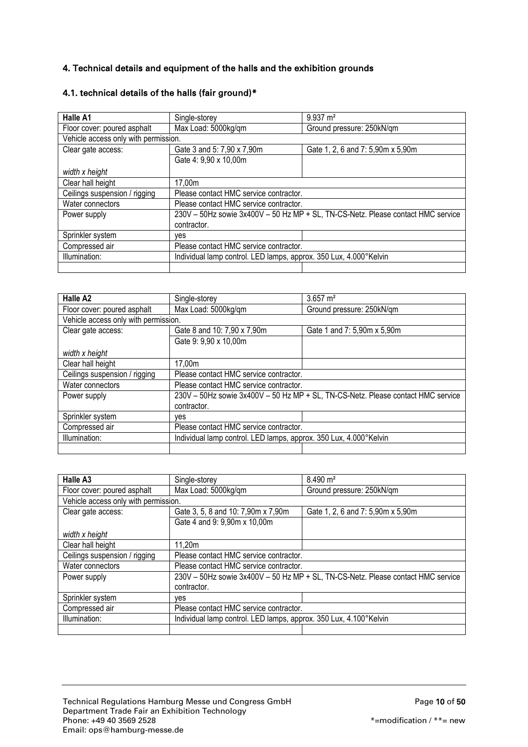# <span id="page-9-0"></span>4. Technical details and equipment of the halls and the exhibition grounds

| Halle A1                             | Single-storey                                                     | $9.937 \text{ m}^2$                                                              |
|--------------------------------------|-------------------------------------------------------------------|----------------------------------------------------------------------------------|
| Floor cover: poured asphalt          | Max Load: 5000kg/qm                                               | Ground pressure: 250kN/qm                                                        |
| Vehicle access only with permission. |                                                                   |                                                                                  |
| Clear gate access:                   | Gate 3 and 5: 7,90 x 7,90m                                        | Gate 1, 2, 6 and 7: 5,90m x 5,90m                                                |
|                                      | Gate 4: 9,90 x 10,00m                                             |                                                                                  |
| width x height                       |                                                                   |                                                                                  |
| Clear hall height                    | 17,00m                                                            |                                                                                  |
| Ceilings suspension / rigging        | Please contact HMC service contractor.                            |                                                                                  |
| Water connectors                     | Please contact HMC service contractor.                            |                                                                                  |
| Power supply                         |                                                                   | 230V - 50Hz sowie 3x400V - 50 Hz MP + SL, TN-CS-Netz. Please contact HMC service |
|                                      | contractor.                                                       |                                                                                  |
| Sprinkler system                     | ves                                                               |                                                                                  |
| Compressed air                       | Please contact HMC service contractor.                            |                                                                                  |
| Illumination:                        | Individual lamp control. LED lamps, approx. 350 Lux, 4.000°Kelvin |                                                                                  |
|                                      |                                                                   |                                                                                  |

# <span id="page-9-1"></span>4.1. technical details of the halls (fair ground)\*

| Halle A <sub>2</sub>                 | Single-storey                                                                    | $3.657 \text{ m}^2$         |
|--------------------------------------|----------------------------------------------------------------------------------|-----------------------------|
| Floor cover: poured asphalt          | Max Load: 5000kg/qm                                                              | Ground pressure: 250kN/qm   |
| Vehicle access only with permission. |                                                                                  |                             |
| Clear gate access:                   | Gate 8 and 10: 7,90 x 7,90m                                                      | Gate 1 and 7: 5,90m x 5,90m |
|                                      | Gate 9: 9,90 x 10,00m                                                            |                             |
| width x height                       |                                                                                  |                             |
| Clear hall height                    | 17.00m                                                                           |                             |
| Ceilings suspension / rigging        | Please contact HMC service contractor.                                           |                             |
| Water connectors                     | Please contact HMC service contractor.                                           |                             |
| Power supply                         | 230V - 50Hz sowie 3x400V - 50 Hz MP + SL, TN-CS-Netz. Please contact HMC service |                             |
|                                      | contractor.                                                                      |                             |
| Sprinkler system                     | ves                                                                              |                             |
| Compressed air                       | Please contact HMC service contractor.                                           |                             |
| Illumination:                        | Individual lamp control. LED lamps, approx. 350 Lux, 4.000°Kelvin                |                             |
|                                      |                                                                                  |                             |

| Halle A <sub>3</sub>                 | Single-storey                                                                    | $8.490 \text{ m}^2$               |
|--------------------------------------|----------------------------------------------------------------------------------|-----------------------------------|
| Floor cover: poured asphalt          | Max Load: 5000kg/gm                                                              | Ground pressure: 250kN/qm         |
| Vehicle access only with permission. |                                                                                  |                                   |
| Clear gate access:                   | Gate 3, 5, 8 and 10: 7,90m x 7,90m                                               | Gate 1, 2, 6 and 7: 5,90m x 5,90m |
|                                      | Gate 4 and 9: 9,90m x 10,00m                                                     |                                   |
| width x height                       |                                                                                  |                                   |
| Clear hall height                    | 11,20m                                                                           |                                   |
| Ceilings suspension / rigging        | Please contact HMC service contractor.                                           |                                   |
| Water connectors                     | Please contact HMC service contractor.                                           |                                   |
| Power supply                         | 230V - 50Hz sowie 3x400V - 50 Hz MP + SL, TN-CS-Netz. Please contact HMC service |                                   |
|                                      | contractor.                                                                      |                                   |
| Sprinkler system                     | ves                                                                              |                                   |
| Compressed air                       | Please contact HMC service contractor.                                           |                                   |
| Illumination:                        | Individual lamp control. LED lamps, approx. 350 Lux, 4.100°Kelvin                |                                   |
|                                      |                                                                                  |                                   |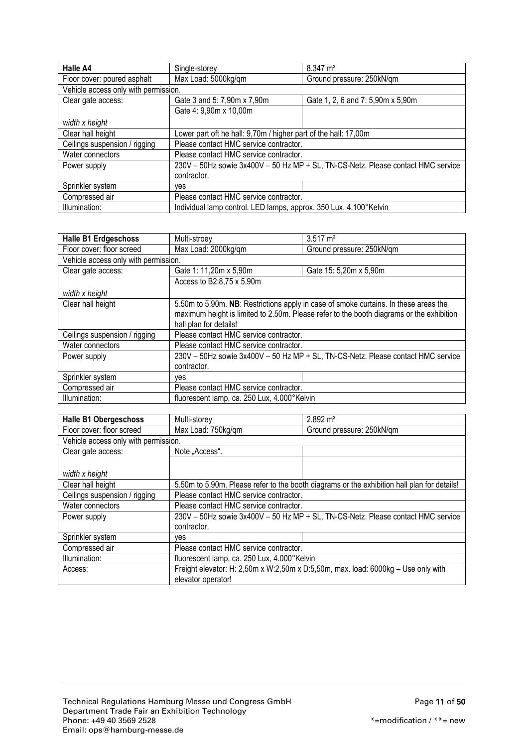| Halle A4                             | Single-storey                                                                    | 8.347 m <sup>2</sup>              |
|--------------------------------------|----------------------------------------------------------------------------------|-----------------------------------|
| Floor cover: poured asphalt          | Max Load: 5000kg/qm                                                              | Ground pressure: 250kN/qm         |
| Vehicle access only with permission. |                                                                                  |                                   |
| Clear gate access:                   | Gate 3 and 5: 7,90m x 7,90m                                                      | Gate 1, 2, 6 and 7: 5,90m x 5,90m |
|                                      | Gate 4: 9,90m x 10,00m                                                           |                                   |
| width x height                       |                                                                                  |                                   |
| Clear hall height                    | Lower part oft he hall: 9,70m / higher part of the hall: 17,00m                  |                                   |
| Ceilings suspension / rigging        | Please contact HMC service contractor.                                           |                                   |
| Water connectors                     | Please contact HMC service contractor.                                           |                                   |
| Power supply                         | 230V - 50Hz sowie 3x400V - 50 Hz MP + SL, TN-CS-Netz. Please contact HMC service |                                   |
|                                      | contractor.                                                                      |                                   |
| Sprinkler system                     | ves                                                                              |                                   |
| Compressed air                       | Please contact HMC service contractor.                                           |                                   |
| Illumination:                        | Individual lamp control. LED lamps, approx. 350 Lux, 4.100°Kelvin                |                                   |

| <b>Halle B1 Erdgeschoss</b>          | Multi-stroey                                                                             | $3.517 \text{ m}^2$       |
|--------------------------------------|------------------------------------------------------------------------------------------|---------------------------|
| Floor cover: floor screed            | Max Load: 2000kg/qm                                                                      | Ground pressure: 250kN/qm |
| Vehicle access only with permission. |                                                                                          |                           |
| Clear gate access:                   | Gate 1: 11,20m x 5,90m                                                                   | Gate 15: 5,20m x 5,90m    |
|                                      | Access to B2:8,75 x 5,90m                                                                |                           |
| width x height                       |                                                                                          |                           |
| Clear hall height                    | 5.50m to 5.90m. NB: Restrictions apply in case of smoke curtains. In these areas the     |                           |
|                                      | maximum height is limited to 2.50m. Please refer to the booth diagrams or the exhibition |                           |
|                                      | hall plan for details!                                                                   |                           |
| Ceilings suspension / rigging        | Please contact HMC service contractor.                                                   |                           |
| Water connectors                     | Please contact HMC service contractor.                                                   |                           |
| Power supply                         | 230V - 50Hz sowie 3x400V - 50 Hz MP + SL, TN-CS-Netz. Please contact HMC service         |                           |
|                                      | contractor.                                                                              |                           |
| Sprinkler system                     | ves                                                                                      |                           |
| Compressed air                       | Please contact HMC service contractor.                                                   |                           |
| Illumination:                        | fluorescent lamp, ca. 250 Lux, 4.000°Kelvin                                              |                           |

| <b>Halle B1 Obergeschoss</b>         | Multi-storey                                                                      | $2.892 \text{ m}^2$                                                                         |
|--------------------------------------|-----------------------------------------------------------------------------------|---------------------------------------------------------------------------------------------|
| Floor cover: floor screed            | Max Load: 750kg/qm                                                                | Ground pressure: 250kN/qm                                                                   |
| Vehicle access only with permission. |                                                                                   |                                                                                             |
| Clear gate access:                   | Note "Access".                                                                    |                                                                                             |
|                                      |                                                                                   |                                                                                             |
| width x height                       |                                                                                   |                                                                                             |
| Clear hall height                    |                                                                                   | 5.50m to 5.90m. Please refer to the booth diagrams or the exhibition hall plan for details! |
| Ceilings suspension / rigging        | Please contact HMC service contractor.                                            |                                                                                             |
| Water connectors                     | Please contact HMC service contractor.                                            |                                                                                             |
| Power supply                         | 230V - 50Hz sowie 3x400V - 50 Hz MP + SL, TN-CS-Netz. Please contact HMC service  |                                                                                             |
|                                      | contractor.                                                                       |                                                                                             |
| Sprinkler system                     | ves                                                                               |                                                                                             |
| Compressed air                       | Please contact HMC service contractor.                                            |                                                                                             |
| Illumination:                        | fluorescent lamp, ca. 250 Lux, 4.000°Kelvin                                       |                                                                                             |
| Access:                              | Freight elevator: H: 2,50m x W:2,50m x D:5,50m, max. load: 6000kg - Use only with |                                                                                             |
|                                      | elevator operator!                                                                |                                                                                             |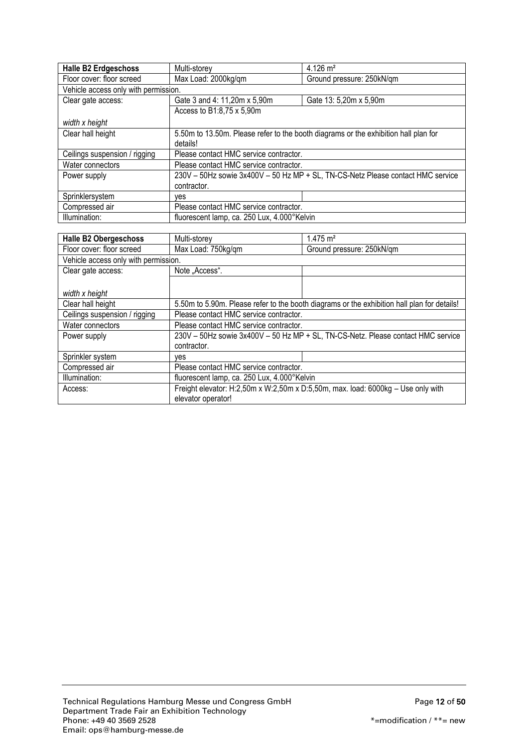| <b>Halle B2 Erdgeschoss</b>          | Multi-storev                                                                        | $4.126 \text{ m}^2$       |
|--------------------------------------|-------------------------------------------------------------------------------------|---------------------------|
| Floor cover: floor screed            | Max Load: 2000kg/qm                                                                 | Ground pressure: 250kN/qm |
| Vehicle access only with permission. |                                                                                     |                           |
| Clear gate access:                   | Gate 3 and 4: 11,20m x 5,90m                                                        | Gate 13: 5,20m x 5,90m    |
|                                      | Access to B1:8,75 x 5,90m                                                           |                           |
| width x height                       |                                                                                     |                           |
| Clear hall height                    | 5.50m to 13.50m. Please refer to the booth diagrams or the exhibition hall plan for |                           |
|                                      | details!                                                                            |                           |
| Ceilings suspension / rigging        | Please contact HMC service contractor.                                              |                           |
| Water connectors                     | Please contact HMC service contractor.                                              |                           |
| Power supply                         | 230V - 50Hz sowie 3x400V - 50 Hz MP + SL, TN-CS-Netz Please contact HMC service     |                           |
|                                      | contractor.                                                                         |                           |
| Sprinklersystem                      | ves                                                                                 |                           |
| Compressed air                       | Please contact HMC service contractor.                                              |                           |
| Illumination:                        | fluorescent lamp, ca. 250 Lux, 4.000°Kelvin                                         |                           |

| <b>Halle B2 Obergeschoss</b>         | Multi-storey                                                                     | $1.475 \text{ m}^2$                                                                         |
|--------------------------------------|----------------------------------------------------------------------------------|---------------------------------------------------------------------------------------------|
| Floor cover: floor screed            | Max Load: 750kg/qm                                                               | Ground pressure: 250kN/qm                                                                   |
| Vehicle access only with permission. |                                                                                  |                                                                                             |
| Clear gate access:                   | Note "Access".                                                                   |                                                                                             |
|                                      |                                                                                  |                                                                                             |
| width x height                       |                                                                                  |                                                                                             |
| Clear hall height                    |                                                                                  | 5.50m to 5.90m. Please refer to the booth diagrams or the exhibition hall plan for details! |
| Ceilings suspension / rigging        | Please contact HMC service contractor.                                           |                                                                                             |
| Water connectors                     | Please contact HMC service contractor.                                           |                                                                                             |
| Power supply                         | 230V - 50Hz sowie 3x400V - 50 Hz MP + SL, TN-CS-Netz. Please contact HMC service |                                                                                             |
|                                      | contractor.                                                                      |                                                                                             |
| Sprinkler system                     | ves                                                                              |                                                                                             |
| Compressed air                       | Please contact HMC service contractor.                                           |                                                                                             |
| Illumination:                        | fluorescent lamp, ca. 250 Lux, 4.000°Kelvin                                      |                                                                                             |
| Access:                              | Freight elevator: H:2,50m x W:2,50m x D:5,50m, max. load: 6000kg - Use only with |                                                                                             |
|                                      | elevator operator!                                                               |                                                                                             |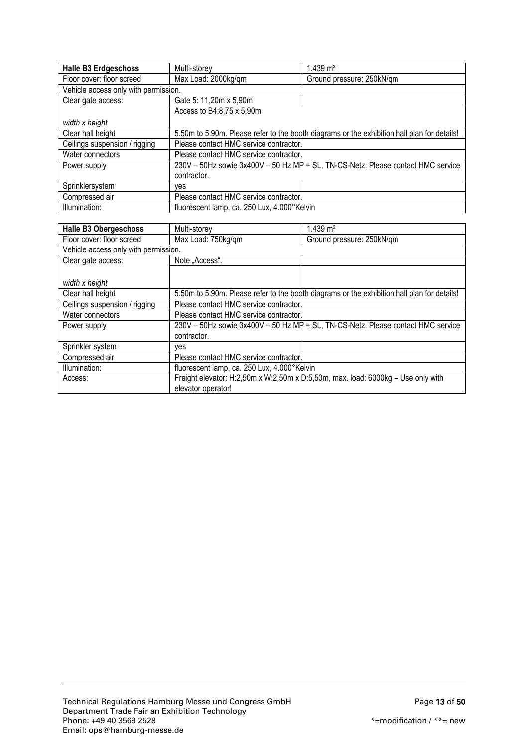| <b>Halle B3 Erdgeschoss</b>          | Multi-storey                                                                                | $1.439 \text{ m}^2$       |
|--------------------------------------|---------------------------------------------------------------------------------------------|---------------------------|
| Floor cover: floor screed            | Max Load: 2000kg/qm                                                                         | Ground pressure: 250kN/qm |
| Vehicle access only with permission. |                                                                                             |                           |
| Clear gate access:                   | Gate 5: 11,20m x 5,90m                                                                      |                           |
|                                      | Access to B4:8,75 x 5,90m                                                                   |                           |
| width x height                       |                                                                                             |                           |
| Clear hall height                    | 5.50m to 5.90m. Please refer to the booth diagrams or the exhibition hall plan for details! |                           |
| Ceilings suspension / rigging        | Please contact HMC service contractor.                                                      |                           |
| Water connectors                     | Please contact HMC service contractor.                                                      |                           |
| Power supply                         | 230V - 50Hz sowie 3x400V - 50 Hz MP + SL, TN-CS-Netz. Please contact HMC service            |                           |
|                                      | contractor.                                                                                 |                           |
| Sprinklersystem                      | ves                                                                                         |                           |
| Compressed air                       | Please contact HMC service contractor.                                                      |                           |
| Illumination:                        | fluorescent lamp, ca. 250 Lux, 4.000°Kelvin                                                 |                           |

| <b>Halle B3 Obergeschoss</b>         | Multi-storey                                                                                           | $1.439 \text{ m}^2$                                                                         |
|--------------------------------------|--------------------------------------------------------------------------------------------------------|---------------------------------------------------------------------------------------------|
| Floor cover: floor screed            | Max Load: 750kg/qm                                                                                     | Ground pressure: 250kN/qm                                                                   |
| Vehicle access only with permission. |                                                                                                        |                                                                                             |
| Clear gate access:                   | Note "Access".                                                                                         |                                                                                             |
|                                      |                                                                                                        |                                                                                             |
| width x height                       |                                                                                                        |                                                                                             |
| Clear hall height                    |                                                                                                        | 5.50m to 5.90m. Please refer to the booth diagrams or the exhibition hall plan for details! |
| Ceilings suspension / rigging        | Please contact HMC service contractor.                                                                 |                                                                                             |
| Water connectors                     | Please contact HMC service contractor.                                                                 |                                                                                             |
| Power supply                         | 230V - 50Hz sowie 3x400V - 50 Hz MP + SL, TN-CS-Netz. Please contact HMC service                       |                                                                                             |
|                                      | contractor.                                                                                            |                                                                                             |
| Sprinkler system                     | ves                                                                                                    |                                                                                             |
| Compressed air                       | Please contact HMC service contractor.                                                                 |                                                                                             |
| Illumination:                        | fluorescent lamp, ca. 250 Lux, 4.000°Kelvin                                                            |                                                                                             |
| Access:                              | Freight elevator: H:2,50m x W:2,50m x D:5,50m, max. load: 6000kg - Use only with<br>elevator operator! |                                                                                             |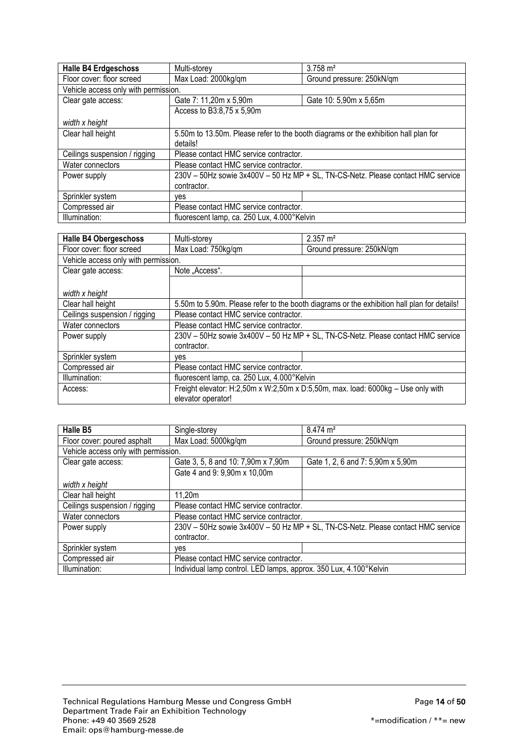| <b>Halle B4 Erdgeschoss</b>          | Multi-storey                                                                        | $3.758 \text{ m}^2$       |
|--------------------------------------|-------------------------------------------------------------------------------------|---------------------------|
| Floor cover: floor screed            | Max Load: 2000kg/qm                                                                 | Ground pressure: 250kN/qm |
| Vehicle access only with permission. |                                                                                     |                           |
| Clear gate access:                   | Gate 7: 11,20m x 5,90m                                                              | Gate 10: 5,90m x 5,65m    |
|                                      | Access to B3:8,75 x 5,90m                                                           |                           |
| width x height                       |                                                                                     |                           |
| Clear hall height                    | 5.50m to 13.50m. Please refer to the booth diagrams or the exhibition hall plan for |                           |
|                                      | details!                                                                            |                           |
| Ceilings suspension / rigging        | Please contact HMC service contractor.                                              |                           |
| Water connectors                     | Please contact HMC service contractor.                                              |                           |
| Power supply                         | 230V - 50Hz sowie 3x400V - 50 Hz MP + SL, TN-CS-Netz. Please contact HMC service    |                           |
|                                      | contractor.                                                                         |                           |
| Sprinkler system                     | ves                                                                                 |                           |
| Compressed air                       | Please contact HMC service contractor.                                              |                           |
| Illumination:                        | fluorescent lamp, ca. 250 Lux, 4.000°Kelvin                                         |                           |

| <b>Halle B4 Obergeschoss</b>         | Multi-storey                                                                                | $2.357 \text{ m}^2$       |
|--------------------------------------|---------------------------------------------------------------------------------------------|---------------------------|
| Floor cover: floor screed            | Max Load: 750kg/gm                                                                          | Ground pressure: 250kN/qm |
| Vehicle access only with permission. |                                                                                             |                           |
| Clear gate access:                   | Note "Access".                                                                              |                           |
|                                      |                                                                                             |                           |
| width x height                       |                                                                                             |                           |
| Clear hall height                    | 5.50m to 5.90m. Please refer to the booth diagrams or the exhibition hall plan for details! |                           |
| Ceilings suspension / rigging        | Please contact HMC service contractor.                                                      |                           |
| Water connectors                     | Please contact HMC service contractor.                                                      |                           |
| Power supply                         | 230V - 50Hz sowie 3x400V - 50 Hz MP + SL, TN-CS-Netz. Please contact HMC service            |                           |
|                                      | contractor.                                                                                 |                           |
| Sprinkler system                     | ves                                                                                         |                           |
| Compressed air                       | Please contact HMC service contractor.                                                      |                           |
| Illumination:                        | fluorescent lamp, ca. 250 Lux, 4.000°Kelvin                                                 |                           |
| Access:                              | Freight elevator: H:2,50m x W:2,50m x D:5,50m, max. load: 6000kg - Use only with            |                           |
|                                      | elevator operator!                                                                          |                           |

| <b>Halle B5</b>                      | Single-storey                                                                    | $8.474 \text{ m}^2$               |
|--------------------------------------|----------------------------------------------------------------------------------|-----------------------------------|
| Floor cover: poured asphalt          | Max Load: 5000kg/qm                                                              | Ground pressure: 250kN/qm         |
| Vehicle access only with permission. |                                                                                  |                                   |
| Clear gate access:                   | Gate 3, 5, 8 and 10: 7,90m x 7,90m                                               | Gate 1, 2, 6 and 7: 5,90m x 5,90m |
|                                      | Gate 4 and 9: 9,90m x 10,00m                                                     |                                   |
| width x height                       |                                                                                  |                                   |
| Clear hall height                    | 11,20m                                                                           |                                   |
| Ceilings suspension / rigging        | Please contact HMC service contractor.                                           |                                   |
| Water connectors                     | Please contact HMC service contractor.                                           |                                   |
| Power supply                         | 230V - 50Hz sowie 3x400V - 50 Hz MP + SL, TN-CS-Netz. Please contact HMC service |                                   |
|                                      | contractor.                                                                      |                                   |
| Sprinkler system                     | ves                                                                              |                                   |
| Compressed air                       | Please contact HMC service contractor.                                           |                                   |
| Illumination:                        | Individual lamp control. LED lamps, approx. 350 Lux, 4.100°Kelvin                |                                   |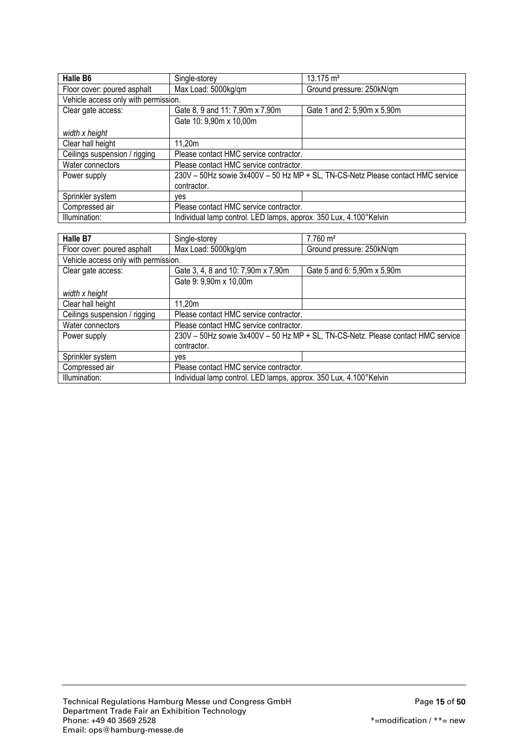| <b>Halle B6</b>                      | Single-storey                                                                   | $13.175 \text{ m}^2$        |
|--------------------------------------|---------------------------------------------------------------------------------|-----------------------------|
| Floor cover: poured asphalt          | Max Load: 5000kg/qm                                                             | Ground pressure: 250kN/qm   |
| Vehicle access only with permission. |                                                                                 |                             |
| Clear gate access:                   | Gate 8, 9 and 11: 7,90m x 7,90m                                                 | Gate 1 and 2: 5,90m x 5,90m |
|                                      | Gate 10: 9,90m x 10,00m                                                         |                             |
| width x height                       |                                                                                 |                             |
| Clear hall height                    | 11,20m                                                                          |                             |
| Ceilings suspension / rigging        | Please contact HMC service contractor.                                          |                             |
| Water connectors                     | Please contact HMC service contractor.                                          |                             |
| Power supply                         | 230V - 50Hz sowie 3x400V - 50 Hz MP + SL, TN-CS-Netz Please contact HMC service |                             |
|                                      | contractor.                                                                     |                             |
| Sprinkler system                     | ves                                                                             |                             |
| Compressed air                       | Please contact HMC service contractor.                                          |                             |
| Illumination:                        | Individual lamp control. LED lamps, approx. 350 Lux, 4.100°Kelvin               |                             |

| Halle B7                             | Single-storey                                                                    | $7.760 \text{ m}^2$         |
|--------------------------------------|----------------------------------------------------------------------------------|-----------------------------|
| Floor cover: poured asphalt          | Max Load: 5000kg/qm                                                              | Ground pressure: 250kN/qm   |
| Vehicle access only with permission. |                                                                                  |                             |
| Clear gate access:                   | Gate 3, 4, 8 and 10: 7,90m x 7,90m                                               | Gate 5 and 6: 5,90m x 5,90m |
|                                      | Gate 9: 9,90m x 10,00m                                                           |                             |
| width x height                       |                                                                                  |                             |
| Clear hall height                    | 11,20m                                                                           |                             |
| Ceilings suspension / rigging        | Please contact HMC service contractor.                                           |                             |
| Water connectors                     | Please contact HMC service contractor.                                           |                             |
| Power supply                         | 230V - 50Hz sowie 3x400V - 50 Hz MP + SL, TN-CS-Netz. Please contact HMC service |                             |
|                                      | contractor.                                                                      |                             |
| Sprinkler system                     | ves                                                                              |                             |
| Compressed air                       | Please contact HMC service contractor.                                           |                             |
| Illumination:                        | Individual lamp control. LED lamps, approx. 350 Lux, 4.100°Kelvin                |                             |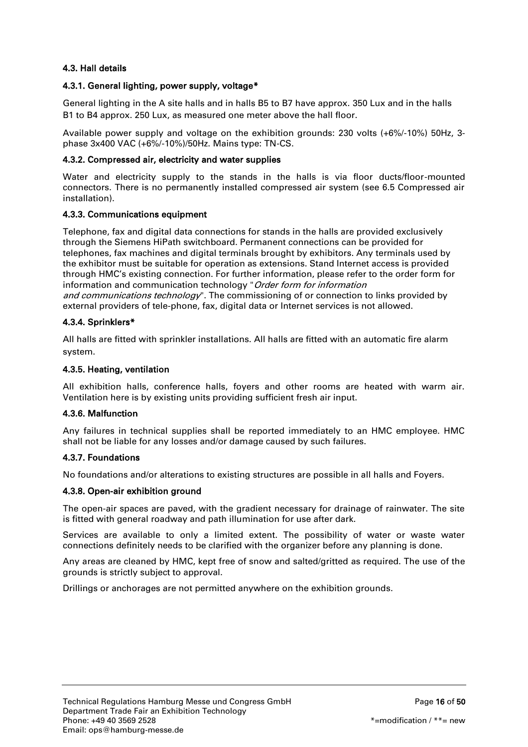# <span id="page-15-0"></span>4.3. Hall details

## <span id="page-15-1"></span>4.3.1. General lighting, power supply, voltage\*

General lighting in the A site halls and in halls B5 to B7 have approx. 350 Lux and in the halls B1 to B4 approx. 250 Lux, as measured one meter above the hall floor.

Available power supply and voltage on the exhibition grounds: 230 volts (+6%/-10%) 50Hz, 3 phase 3x400 VAC (+6%/-10%)/50Hz. Mains type: TN-CS.

## <span id="page-15-2"></span>4.3.2. Compressed air, electricity and water supplies

Water and electricity supply to the stands in the halls is via floor ducts/floor-mounted connectors. There is no permanently installed compressed air system (see 6.5 Compressed air installation).

## <span id="page-15-3"></span>4.3.3. Communications equipment

Telephone, fax and digital data connections for stands in the halls are provided exclusively through the Siemens HiPath switchboard. Permanent connections can be provided for telephones, fax machines and digital terminals brought by exhibitors. Any terminals used by the exhibitor must be suitable for operation as extensions. Stand Internet access is provided through HMC's existing connection. For further information, please refer to the order form for information and communication technology "Order form for information and communications technology". The commissioning of or connection to links provided by external providers of tele-phone, fax, digital data or Internet services is not allowed.

## <span id="page-15-4"></span>4.3.4. Sprinklers\*

All halls are fitted with sprinkler installations. All halls are fitted with an automatic fire alarm system.

## <span id="page-15-5"></span>4.3.5. Heating, ventilation

All exhibition halls, conference halls, foyers and other rooms are heated with warm air. Ventilation here is by existing units providing sufficient fresh air input.

#### <span id="page-15-6"></span>4.3.6. Malfunction

Any failures in technical supplies shall be reported immediately to an HMC employee. HMC shall not be liable for any losses and/or damage caused by such failures.

#### <span id="page-15-7"></span>4.3.7. Foundations

No foundations and/or alterations to existing structures are possible in all halls and Foyers.

#### <span id="page-15-8"></span>4.3.8. Open-air exhibition ground

The open-air spaces are paved, with the gradient necessary for drainage of rainwater. The site is fitted with general roadway and path illumination for use after dark.

Services are available to only a limited extent. The possibility of water or waste water connections definitely needs to be clarified with the organizer before any planning is done.

Any areas are cleaned by HMC, kept free of snow and salted/gritted as required. The use of the grounds is strictly subject to approval.

Drillings or anchorages are not permitted anywhere on the exhibition grounds.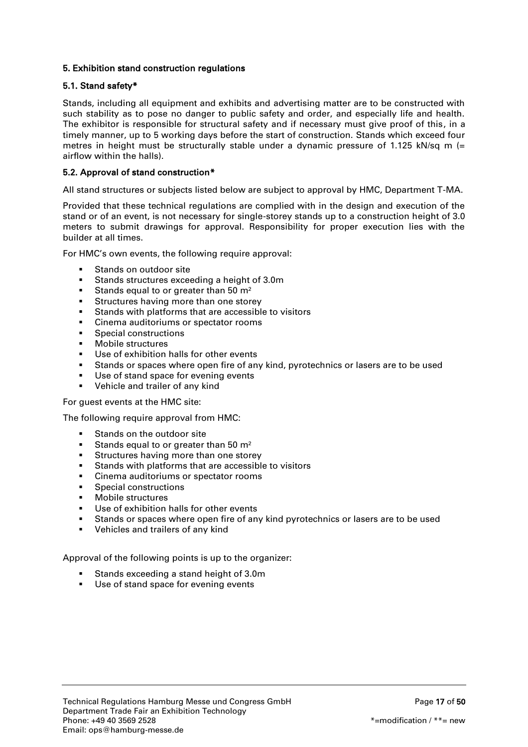# <span id="page-16-0"></span>5. Exhibition stand construction regulations

## <span id="page-16-1"></span>5.1. Stand safety\*

Stands, including all equipment and exhibits and advertising matter are to be constructed with such stability as to pose no danger to public safety and order, and especially life and health. The exhibitor is responsible for structural safety and if necessary must give proof of this, in a timely manner, up to 5 working days before the start of construction. Stands which exceed four metres in height must be structurally stable under a dynamic pressure of 1.125 kN/sq m  $(=$ airflow within the halls).

## <span id="page-16-2"></span>5.2. Approval of stand construction\*

All stand structures or subjects listed below are subject to approval by HMC, Department T-MA.

Provided that these technical regulations are complied with in the design and execution of the stand or of an event, is not necessary for single-storey stands up to a construction height of 3.0 meters to submit drawings for approval. Responsibility for proper execution lies with the builder at all times.

For HMC's own events, the following require approval:

- Stands on outdoor site
- Stands structures exceeding a height of 3.0m
- Stands equal to or greater than 50  $m<sup>2</sup>$
- **Structures having more than one storey**
- Stands with platforms that are accessible to visitors
- **EXEC** Cinema auditoriums or spectator rooms
- **Special constructions**
- **Nobile structures**
- Use of exhibition halls for other events
- Stands or spaces where open fire of any kind, pyrotechnics or lasers are to be used
- Use of stand space for evening events
- **•** Vehicle and trailer of any kind

For guest events at the HMC site:

The following require approval from HMC:

- Stands on the outdoor site
- Stands equal to or greater than 50  $m<sup>2</sup>$
- **Structures having more than one storey**
- Stands with platforms that are accessible to visitors
- Cinema auditoriums or spectator rooms
- Special constructions
- **Nobile structures**
- Use of exhibition halls for other events
- Stands or spaces where open fire of any kind pyrotechnics or lasers are to be used
- **•** Vehicles and trailers of any kind

Approval of the following points is up to the organizer:

- Stands exceeding a stand height of 3.0m
- **Use of stand space for evening events**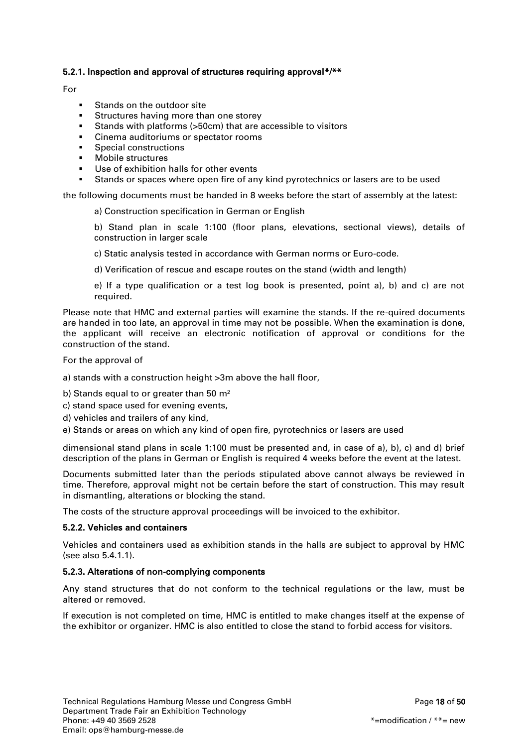## <span id="page-17-0"></span>5.2.1. Inspection and approval of structures requiring approval\*/\*\*

#### For

- Stands on the outdoor site
- **Structures having more than one storey**
- Stands with platforms (>50cm) that are accessible to visitors
- **EXEC** Cinema auditoriums or spectator rooms
- Special constructions
- Mobile structures
- Use of exhibition halls for other events
- Stands or spaces where open fire of any kind pyrotechnics or lasers are to be used

the following documents must be handed in 8 weeks before the start of assembly at the latest:

a) Construction specification in German or English

b) Stand plan in scale 1:100 (floor plans, elevations, sectional views), details of construction in larger scale

c) Static analysis tested in accordance with German norms or Euro-code.

d) Verification of rescue and escape routes on the stand (width and length)

e) If a type qualification or a test log book is presented, point a), b) and c) are not required.

Please note that HMC and external parties will examine the stands. If the re-quired documents are handed in too late, an approval in time may not be possible. When the examination is done, the applicant will receive an electronic notification of approval or conditions for the construction of the stand.

For the approval of

a) stands with a construction height >3m above the hall floor,

b) Stands equal to or greater than 50 m<sup>2</sup>

c) stand space used for evening events,

- d) vehicles and trailers of any kind,
- e) Stands or areas on which any kind of open fire, pyrotechnics or lasers are used

dimensional stand plans in scale 1:100 must be presented and, in case of a), b), c) and d) brief description of the plans in German or English is required 4 weeks before the event at the latest.

Documents submitted later than the periods stipulated above cannot always be reviewed in time. Therefore, approval might not be certain before the start of construction. This may result in dismantling, alterations or blocking the stand.

The costs of the structure approval proceedings will be invoiced to the exhibitor.

#### <span id="page-17-1"></span>5.2.2. Vehicles and containers

Vehicles and containers used as exhibition stands in the halls are subject to approval by HMC (see also 5.4.1.1).

#### <span id="page-17-2"></span>5.2.3. Alterations of non-complying components

Any stand structures that do not conform to the technical regulations or the law, must be altered or removed.

If execution is not completed on time, HMC is entitled to make changes itself at the expense of the exhibitor or organizer. HMC is also entitled to close the stand to forbid access for visitors.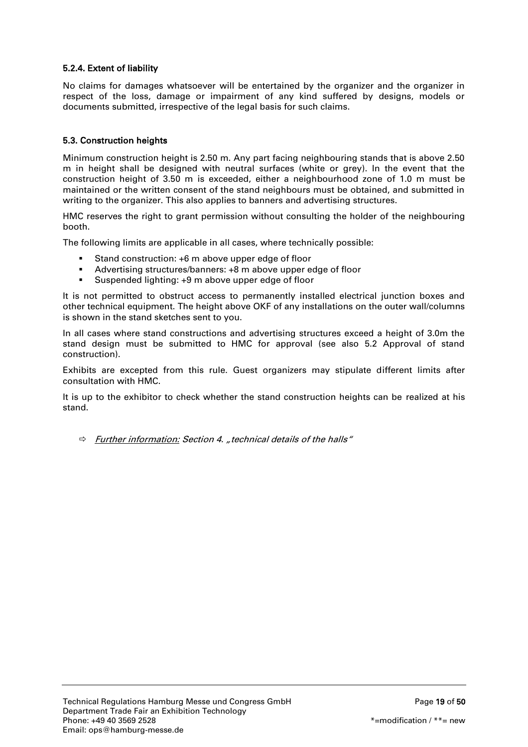# <span id="page-18-0"></span>5.2.4. Extent of liability

No claims for damages whatsoever will be entertained by the organizer and the organizer in respect of the loss, damage or impairment of any kind suffered by designs, models or documents submitted, irrespective of the legal basis for such claims.

# <span id="page-18-1"></span>5.3. Construction heights

Minimum construction height is 2.50 m. Any part facing neighbouring stands that is above 2.50 m in height shall be designed with neutral surfaces (white or grey). In the event that the construction height of 3.50 m is exceeded, either a neighbourhood zone of 1.0 m must be maintained or the written consent of the stand neighbours must be obtained, and submitted in writing to the organizer. This also applies to banners and advertising structures.

HMC reserves the right to grant permission without consulting the holder of the neighbouring booth.

The following limits are applicable in all cases, where technically possible:

- Stand construction: +6 m above upper edge of floor
- Advertising structures/banners: +8 m above upper edge of floor
- Suspended lighting: +9 m above upper edge of floor

It is not permitted to obstruct access to permanently installed electrical junction boxes and other technical equipment. The height above OKF of any installations on the outer wall/columns is shown in the stand sketches sent to you.

In all cases where stand constructions and advertising structures exceed a height of 3.0m the stand design must be submitted to HMC for approval (see also 5.2 Approval of stand construction).

Exhibits are excepted from this rule. Guest organizers may stipulate different limits after consultation with HMC.

It is up to the exhibitor to check whether the stand construction heights can be realized at his stand.

 $\Rightarrow$  Further information: Section 4. "technical details of the halls"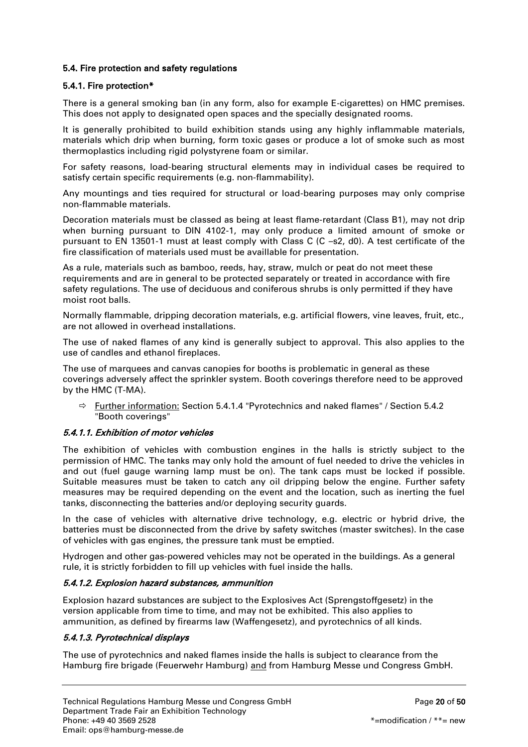# <span id="page-19-0"></span>5.4. Fire protection and safety regulations

## <span id="page-19-1"></span>5.4.1. Fire protection\*

There is a general smoking ban (in any form, also for example E-cigarettes) on HMC premises. This does not apply to designated open spaces and the specially designated rooms.

It is generally prohibited to build exhibition stands using any highly inflammable materials, materials which drip when burning, form toxic gases or produce a lot of smoke such as most thermoplastics including rigid polystyrene foam or similar.

For safety reasons, load-bearing structural elements may in individual cases be required to satisfy certain specific requirements (e.g. non-flammability).

Any mountings and ties required for structural or load-bearing purposes may only comprise non-flammable materials.

Decoration materials must be classed as being at least flame-retardant (Class B1), may not drip when burning pursuant to DIN 4102-1, may only produce a limited amount of smoke or pursuant to EN 13501-1 must at least comply with Class C (C –s2, d0). A test certificate of the fire classification of materials used must be availlable for presentation.

As a rule, materials such as bamboo, reeds, hay, straw, mulch or peat do not meet these requirements and are in general to be protected separately or treated in accordance with fire safety regulations. The use of deciduous and coniferous shrubs is only permitted if they have moist root balls.

Normally flammable, dripping decoration materials, e.g. artificial flowers, vine leaves, fruit, etc., are not allowed in overhead installations.

The use of naked flames of any kind is generally subject to approval. This also applies to the use of candles and ethanol fireplaces.

The use of marquees and canvas canopies for booths is problematic in general as these coverings adversely affect the sprinkler system. Booth coverings therefore need to be approved by the HMC (T-MA).

 $\Rightarrow$  Further information: Section 5.4.1.4 "Pyrotechnics and naked flames" / Section 5.4.2 "Booth coverings"

# 5.4.1.1. Exhibition of motor vehicles

The exhibition of vehicles with combustion engines in the halls is strictly subject to the permission of HMC. The tanks may only hold the amount of fuel needed to drive the vehicles in and out (fuel gauge warning lamp must be on). The tank caps must be locked if possible. Suitable measures must be taken to catch any oil dripping below the engine. Further safety measures may be required depending on the event and the location, such as inerting the fuel tanks, disconnecting the batteries and/or deploying security guards.

In the case of vehicles with alternative drive technology, e.g. electric or hybrid drive, the batteries must be disconnected from the drive by safety switches (master switches). In the case of vehicles with gas engines, the pressure tank must be emptied.

Hydrogen and other gas-powered vehicles may not be operated in the buildings. As a general rule, it is strictly forbidden to fill up vehicles with fuel inside the halls.

#### 5.4.1.2. Explosion hazard substances, ammunition

Explosion hazard substances are subject to the Explosives Act (Sprengstoffgesetz) in the version applicable from time to time, and may not be exhibited. This also applies to ammunition, as defined by firearms law (Waffengesetz), and pyrotechnics of all kinds.

# 5.4.1.3. Pyrotechnical displays

The use of pyrotechnics and naked flames inside the halls is subject to clearance from the Hamburg fire brigade (Feuerwehr Hamburg) and from Hamburg Messe und Congress GmbH.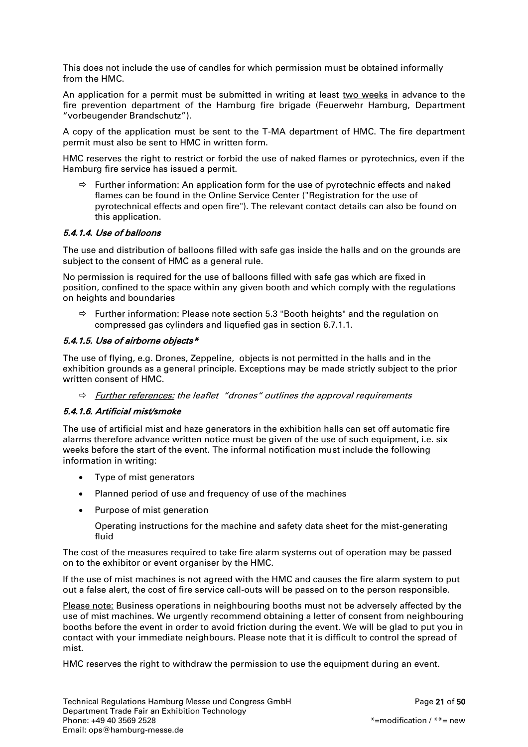This does not include the use of candles for which permission must be obtained informally from the HMC.

An application for a permit must be submitted in writing at least two weeks in advance to the fire prevention department of the Hamburg fire brigade (Feuerwehr Hamburg, Department "vorbeugender Brandschutz").

A copy of the application must be sent to the T-MA department of HMC. The fire department permit must also be sent to HMC in written form.

HMC reserves the right to restrict or forbid the use of naked flames or pyrotechnics, even if the Hamburg fire service has issued a permit.

 $\Rightarrow$  Further information: An application form for the use of pyrotechnic effects and naked flames can be found in the Online Service Center ("Registration for the use of pyrotechnical effects and open fire"). The relevant contact details can also be found on this application.

## 5.4.1.4. Use of balloons

The use and distribution of balloons filled with safe gas inside the halls and on the grounds are subject to the consent of HMC as a general rule.

No permission is required for the use of balloons filled with safe gas which are fixed in position, confined to the space within any given booth and which comply with the regulations on heights and boundaries

 $\Rightarrow$  Further information: Please note section 5.3 "Booth heights" and the regulation on compressed gas cylinders and liquefied gas in section 6.7.1.1.

#### 5.4.1.5. Use of airborne objects\*

The use of flying, e.g. Drones, Zeppeline, objects is not permitted in the halls and in the exhibition grounds as a general principle. Exceptions may be made strictly subject to the prior written consent of HMC.

 $\Rightarrow$  Further references: the leaflet "drones" outlines the approval requirements

#### 5.4.1.6. Artificial mist/smoke

The use of artificial mist and haze generators in the exhibition halls can set off automatic fire alarms therefore advance written notice must be given of the use of such equipment, i.e. six weeks before the start of the event. The informal notification must include the following information in writing:

- Type of mist generators
- Planned period of use and frequency of use of the machines
- Purpose of mist generation

Operating instructions for the machine and safety data sheet for the mist-generating fluid

The cost of the measures required to take fire alarm systems out of operation may be passed on to the exhibitor or event organiser by the HMC.

If the use of mist machines is not agreed with the HMC and causes the fire alarm system to put out a false alert, the cost of fire service call-outs will be passed on to the person responsible.

Please note: Business operations in neighbouring booths must not be adversely affected by the use of mist machines. We urgently recommend obtaining a letter of consent from neighbouring booths before the event in order to avoid friction during the event. We will be glad to put you in contact with your immediate neighbours. Please note that it is difficult to control the spread of mist.

HMC reserves the right to withdraw the permission to use the equipment during an event.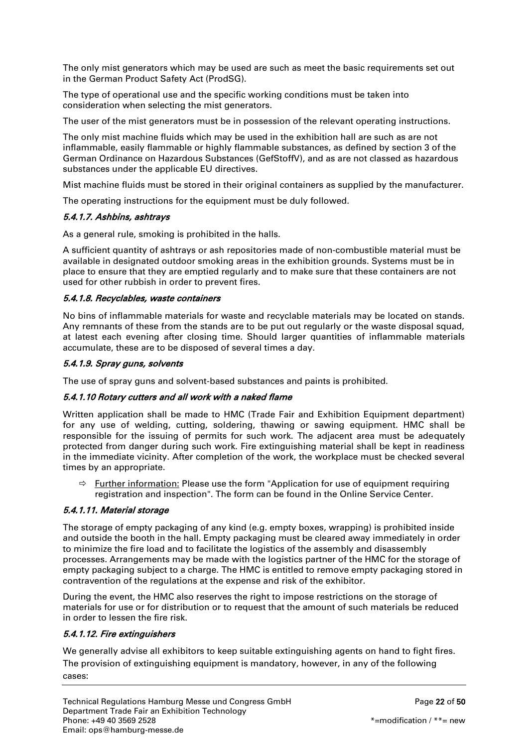The only mist generators which may be used are such as meet the basic requirements set out in the German Product Safety Act (ProdSG).

The type of operational use and the specific working conditions must be taken into consideration when selecting the mist generators.

The user of the mist generators must be in possession of the relevant operating instructions.

The only mist machine fluids which may be used in the exhibition hall are such as are not inflammable, easily flammable or highly flammable substances, as defined by section 3 of the German Ordinance on Hazardous Substances (GefStoffV), and as are not classed as hazardous substances under the applicable EU directives.

Mist machine fluids must be stored in their original containers as supplied by the manufacturer.

The operating instructions for the equipment must be duly followed.

## 5.4.1.7. Ashbins, ashtrays

As a general rule, smoking is prohibited in the halls.

A sufficient quantity of ashtrays or ash repositories made of non-combustible material must be available in designated outdoor smoking areas in the exhibition grounds. Systems must be in place to ensure that they are emptied regularly and to make sure that these containers are not used for other rubbish in order to prevent fires.

## 5.4.1.8. Recyclables, waste containers

No bins of inflammable materials for waste and recyclable materials may be located on stands. Any remnants of these from the stands are to be put out regularly or the waste disposal squad, at latest each evening after closing time. Should larger quantities of inflammable materials accumulate, these are to be disposed of several times a day.

# 5.4.1.9. Spray guns, solvents

The use of spray guns and solvent-based substances and paints is prohibited.

# 5.4.1.10 Rotary cutters and all work with a naked flame

Written application shall be made to HMC (Trade Fair and Exhibition Equipment department) for any use of welding, cutting, soldering, thawing or sawing equipment. HMC shall be responsible for the issuing of permits for such work. The adjacent area must be adequately protected from danger during such work. Fire extinguishing material shall be kept in readiness in the immediate vicinity. After completion of the work, the workplace must be checked several times by an appropriate.

 $\Rightarrow$  Further information: Please use the form "Application for use of equipment requiring registration and inspection". The form can be found in the Online Service Center.

# 5.4.1.11. Material storage

The storage of empty packaging of any kind (e.g. empty boxes, wrapping) is prohibited inside and outside the booth in the hall. Empty packaging must be cleared away immediately in order to minimize the fire load and to facilitate the logistics of the assembly and disassembly processes. Arrangements may be made with the logistics partner of the HMC for the storage of empty packaging subject to a charge. The HMC is entitled to remove empty packaging stored in contravention of the regulations at the expense and risk of the exhibitor.

During the event, the HMC also reserves the right to impose restrictions on the storage of materials for use or for distribution or to request that the amount of such materials be reduced in order to lessen the fire risk.

# 5.4.1.12. Fire extinguishers

We generally advise all exhibitors to keep suitable extinguishing agents on hand to fight fires. The provision of extinguishing equipment is mandatory, however, in any of the following cases: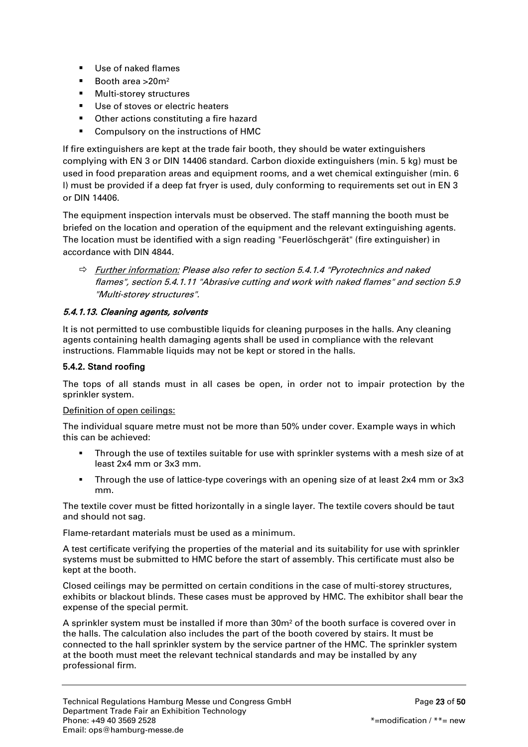- Use of naked flames
- Booth area > 20m<sup>2</sup>
- **Nulti-storey structures**
- Use of stoves or electric heaters
- **•** Other actions constituting a fire hazard
- **Compulsory on the instructions of HMC**

If fire extinguishers are kept at the trade fair booth, they should be water extinguishers complying with EN 3 or DIN 14406 standard. Carbon dioxide extinguishers (min. 5 kg) must be used in food preparation areas and equipment rooms, and a wet chemical extinguisher (min. 6 l) must be provided if a deep fat fryer is used, duly conforming to requirements set out in EN 3 or DIN 14406.

The equipment inspection intervals must be observed. The staff manning the booth must be briefed on the location and operation of the equipment and the relevant extinguishing agents. The location must be identified with a sign reading "Feuerlöschgerät" (fire extinguisher) in accordance with DIN 4844.

 $\Rightarrow$  Further information: Please also refer to section 5.4.1.4 "Pyrotechnics and naked flames", section 5.4.1.11 "Abrasive cutting and work with naked flames" and section 5.9 "Multi-storey structures".

## 5.4.1.13. Cleaning agents, solvents

It is not permitted to use combustible liquids for cleaning purposes in the halls. Any cleaning agents containing health damaging agents shall be used in compliance with the relevant instructions. Flammable liquids may not be kept or stored in the halls.

# <span id="page-22-0"></span>5.4.2. Stand roofing

The tops of all stands must in all cases be open, in order not to impair protection by the sprinkler system.

#### Definition of open ceilings:

The individual square metre must not be more than 50% under cover. Example ways in which this can be achieved:

- Through the use of textiles suitable for use with sprinkler systems with a mesh size of at least 2x4 mm or 3x3 mm.
- Through the use of lattice-type coverings with an opening size of at least 2x4 mm or 3x3 mm.

The textile cover must be fitted horizontally in a single layer. The textile covers should be taut and should not sag.

Flame-retardant materials must be used as a minimum.

A test certificate verifying the properties of the material and its suitability for use with sprinkler systems must be submitted to HMC before the start of assembly. This certificate must also be kept at the booth.

Closed ceilings may be permitted on certain conditions in the case of multi-storey structures, exhibits or blackout blinds. These cases must be approved by HMC. The exhibitor shall bear the expense of the special permit.

A sprinkler system must be installed if more than 30m² of the booth surface is covered over in the halls. The calculation also includes the part of the booth covered by stairs. It must be connected to the hall sprinkler system by the service partner of the HMC. The sprinkler system at the booth must meet the relevant technical standards and may be installed by any professional firm.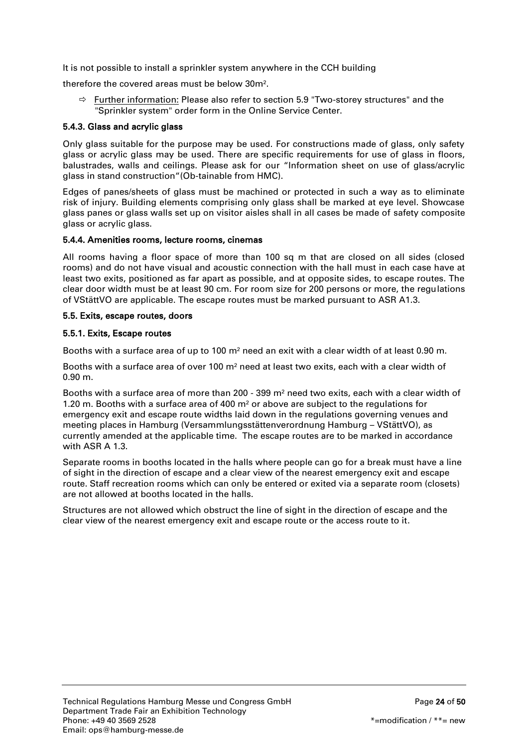It is not possible to install a sprinkler system anywhere in the CCH building

therefore the covered areas must be below 30m².

 $\Rightarrow$  Further information: Please also refer to section 5.9 "Two-storey structures" and the "Sprinkler system" order form in the Online Service Center.

#### <span id="page-23-0"></span>5.4.3. Glass and acrylic glass

Only glass suitable for the purpose may be used. For constructions made of glass, only safety glass or acrylic glass may be used. There are specific requirements for use of glass in floors, balustrades, walls and ceilings. Please ask for our "Information sheet on use of glass/acrylic glass in stand construction"(Ob-tainable from HMC).

Edges of panes/sheets of glass must be machined or protected in such a way as to eliminate risk of injury. Building elements comprising only glass shall be marked at eye level. Showcase glass panes or glass walls set up on visitor aisles shall in all cases be made of safety composite glass or acrylic glass.

#### <span id="page-23-1"></span>5.4.4. Amenities rooms, lecture rooms, cinemas

All rooms having a floor space of more than 100 sq m that are closed on all sides (closed rooms) and do not have visual and acoustic connection with the hall must in each case have at least two exits, positioned as far apart as possible, and at opposite sides, to escape routes. The clear door width must be at least 90 cm. For room size for 200 persons or more, the regulations of VStättVO are applicable. The escape routes must be marked pursuant to ASR A1.3.

#### <span id="page-23-2"></span>5.5. Exits, escape routes, doors

#### <span id="page-23-3"></span>5.5.1. Exits, Escape routes

Booths with a surface area of up to 100 m² need an exit with a clear width of at least 0.90 m.

Booths with a surface area of over 100 m² need at least two exits, each with a clear width of 0.90 m.

Booths with a surface area of more than 200 - 399 m² need two exits, each with a clear width of 1.20 m. Booths with a surface area of 400 m² or above are subject to the regulations for emergency exit and escape route widths laid down in the regulations governing venues and meeting places in Hamburg (Versammlungsstättenverordnung Hamburg – VStättVO), as currently amended at the applicable time. The escape routes are to be marked in accordance with ASR A 1.3.

Separate rooms in booths located in the halls where people can go for a break must have a line of sight in the direction of escape and a clear view of the nearest emergency exit and escape route. Staff recreation rooms which can only be entered or exited via a separate room (closets) are not allowed at booths located in the halls.

<span id="page-23-4"></span>Structures are not allowed which obstruct the line of sight in the direction of escape and the clear view of the nearest emergency exit and escape route or the access route to it.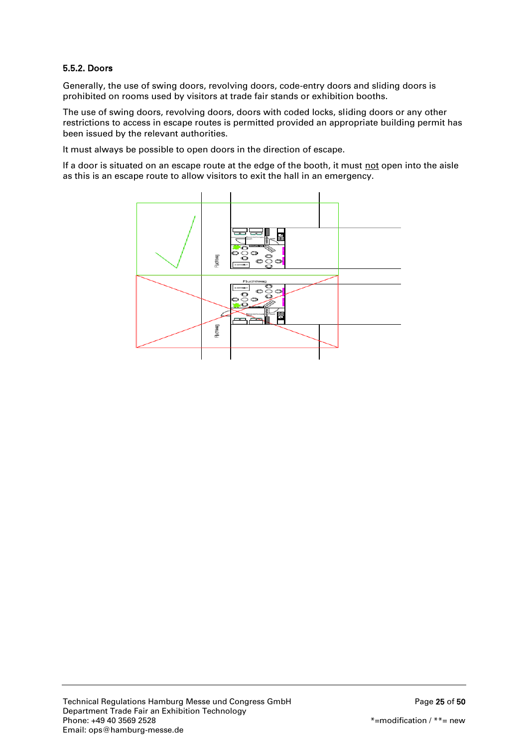# 5.5.2. Doors

Generally, the use of swing doors, revolving doors, code-entry doors and sliding doors is prohibited on rooms used by visitors at trade fair stands or exhibition booths.

The use of swing doors, revolving doors, doors with coded locks, sliding doors or any other restrictions to access in escape routes is permitted provided an appropriate building permit has been issued by the relevant authorities.

It must always be possible to open doors in the direction of escape.

If a door is situated on an escape route at the edge of the booth, it must not open into the aisle as this is an escape route to allow visitors to exit the hall in an emergency.

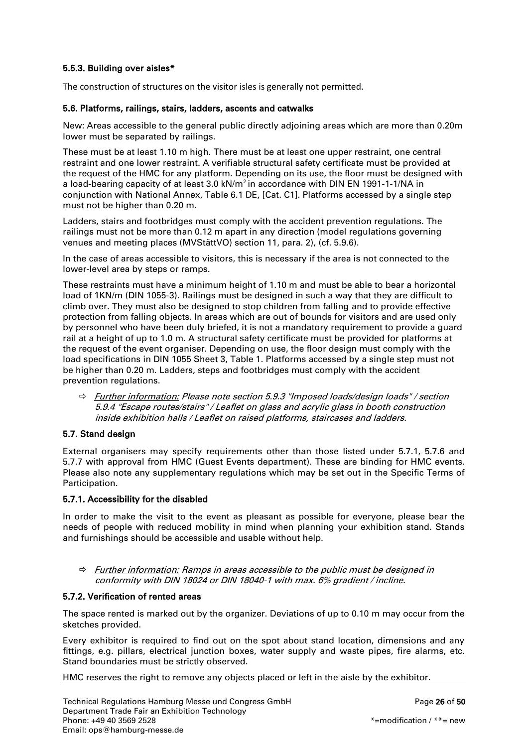# <span id="page-25-0"></span>5.5.3. Building over aisles\*

The construction of structures on the visitor isles is generally not permitted.

## <span id="page-25-1"></span>5.6. Platforms, railings, stairs, ladders, ascents and catwalks

New: Areas accessible to the general public directly adjoining areas which are more than 0.20m lower must be separated by railings.

These must be at least 1.10 m high. There must be at least one upper restraint, one central restraint and one lower restraint. A verifiable structural safety certificate must be provided at the request of the HMC for any platform. Depending on its use, the floor must be designed with a load-bearing capacity of at least  $3.0 \text{ kN/m}^2$  in accordance with DIN EN 1991-1-1/NA in conjunction with National Annex, Table 6.1 DE, [Cat. C1]. Platforms accessed by a single step must not be higher than 0.20 m.

Ladders, stairs and footbridges must comply with the accident prevention regulations. The railings must not be more than 0.12 m apart in any direction (model regulations governing venues and meeting places (MVStättVO) section 11, para. 2), (cf. 5.9.6).

In the case of areas accessible to visitors, this is necessary if the area is not connected to the lower-level area by steps or ramps.

These restraints must have a minimum height of 1.10 m and must be able to bear a horizontal load of 1KN/m (DIN 1055-3). Railings must be designed in such a way that they are difficult to climb over. They must also be designed to stop children from falling and to provide effective protection from falling objects. In areas which are out of bounds for visitors and are used only by personnel who have been duly briefed, it is not a mandatory requirement to provide a guard rail at a height of up to 1.0 m. A structural safety certificate must be provided for platforms at the request of the event organiser. Depending on use, the floor design must comply with the load specifications in DIN 1055 Sheet 3, Table 1. Platforms accessed by a single step must not be higher than 0.20 m. Ladders, steps and footbridges must comply with the accident prevention regulations.

 Further information: Please note section 5.9.3 "Imposed loads/design loads" / section 5.9.4 "Escape routes/stairs" / Leaflet on glass and acrylic glass in booth construction inside exhibition halls / Leaflet on raised platforms, staircases and ladders.

# <span id="page-25-2"></span>5.7. Stand design

External organisers may specify requirements other than those listed under 5.7.1, 5.7.6 and 5.7.7 with approval from HMC (Guest Events department). These are binding for HMC events. Please also note any supplementary regulations which may be set out in the Specific Terms of Participation.

#### <span id="page-25-3"></span>5.7.1. Accessibility for the disabled

In order to make the visit to the event as pleasant as possible for everyone, please bear the needs of people with reduced mobility in mind when planning your exhibition stand. Stands and furnishings should be accessible and usable without help.

 $\Rightarrow$  Further information: Ramps in areas accessible to the public must be designed in conformity with DIN 18024 or DIN 18040-1 with max. 6% gradient / incline.

#### <span id="page-25-4"></span>5.7.2. Verification of rented areas

The space rented is marked out by the organizer. Deviations of up to 0.10 m may occur from the sketches provided.

Every exhibitor is required to find out on the spot about stand location, dimensions and any fittings, e.g. pillars, electrical junction boxes, water supply and waste pipes, fire alarms, etc. Stand boundaries must be strictly observed.

HMC reserves the right to remove any objects placed or left in the aisle by the exhibitor.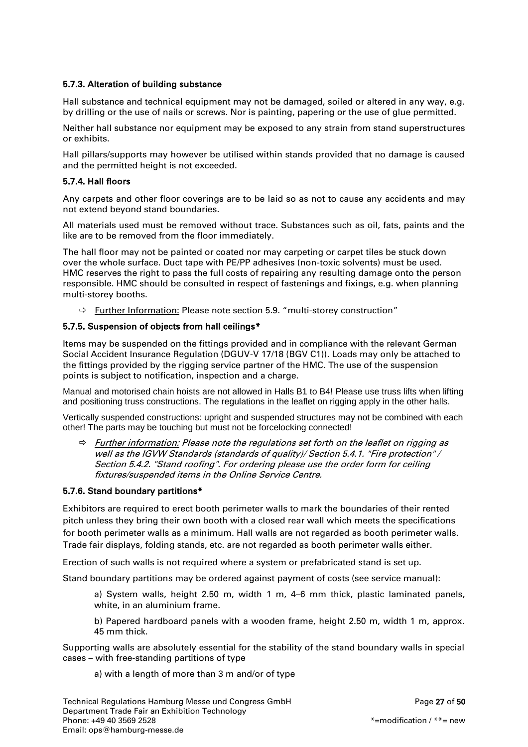## <span id="page-26-0"></span>5.7.3. Alteration of building substance

Hall substance and technical equipment may not be damaged, soiled or altered in any way, e.g. by drilling or the use of nails or screws. Nor is painting, papering or the use of glue permitted.

Neither hall substance nor equipment may be exposed to any strain from stand superstructures or exhibits.

Hall pillars/supports may however be utilised within stands provided that no damage is caused and the permitted height is not exceeded.

## <span id="page-26-1"></span>5.7.4. Hall floors

Any carpets and other floor coverings are to be laid so as not to cause any accidents and may not extend beyond stand boundaries.

All materials used must be removed without trace. Substances such as oil, fats, paints and the like are to be removed from the floor immediately.

The hall floor may not be painted or coated nor may carpeting or carpet tiles be stuck down over the whole surface. Duct tape with PE/PP adhesives (non-toxic solvents) must be used. HMC reserves the right to pass the full costs of repairing any resulting damage onto the person responsible. HMC should be consulted in respect of fastenings and fixings, e.g. when planning multi-storey booths.

 $\Rightarrow$  Further Information: Please note section 5.9. "multi-storey construction"

#### <span id="page-26-2"></span>5.7.5. Suspension of objects from hall ceilings\*

Items may be suspended on the fittings provided and in compliance with the relevant German Social Accident Insurance Regulation (DGUV-V 17/18 (BGV C1)). Loads may only be attached to the fittings provided by the rigging service partner of the HMC. The use of the suspension points is subject to notification, inspection and a charge.

Manual and motorised chain hoists are not allowed in Halls B1 to B4! Please use truss lifts when lifting and positioning truss constructions. The regulations in the leaflet on rigging apply in the other halls.

Vertically suspended constructions: upright and suspended structures may not be combined with each other! The parts may be touching but must not be forcelocking connected!

 $\Rightarrow$  Further information: Please note the regulations set forth on the leaflet on rigging as well as the IGVW Standards (standards of quality)/ Section 5.4.1. "Fire protection" / Section 5.4.2. "Stand roofing". For ordering please use the order form for ceiling fixtures/suspended items in the Online Service Centre.

#### <span id="page-26-3"></span>5.7.6. Stand boundary partitions\*

Exhibitors are required to erect booth perimeter walls to mark the boundaries of their rented pitch unless they bring their own booth with a closed rear wall which meets the specifications for booth perimeter walls as a minimum. Hall walls are not regarded as booth perimeter walls. Trade fair displays, folding stands, etc. are not regarded as booth perimeter walls either.

Erection of such walls is not required where a system or prefabricated stand is set up.

Stand boundary partitions may be ordered against payment of costs (see service manual):

a) System walls, height 2.50 m, width 1 m, 4–6 mm thick, plastic laminated panels, white, in an aluminium frame.

b) Papered hardboard panels with a wooden frame, height 2.50 m, width 1 m, approx. 45 mm thick.

Supporting walls are absolutely essential for the stability of the stand boundary walls in special cases – with free-standing partitions of type

a) with a length of more than 3 m and/or of type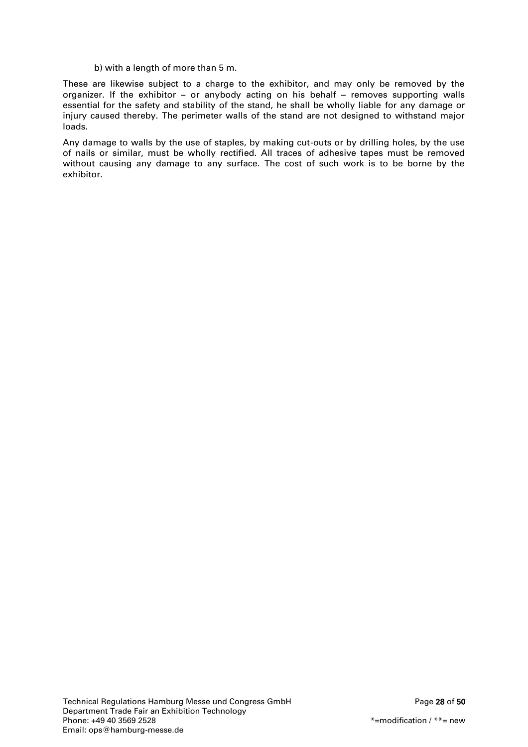#### b) with a length of more than 5 m.

These are likewise subject to a charge to the exhibitor, and may only be removed by the organizer. If the exhibitor – or anybody acting on his behalf – removes supporting walls essential for the safety and stability of the stand, he shall be wholly liable for any damage or injury caused thereby. The perimeter walls of the stand are not designed to withstand major loads.

Any damage to walls by the use of staples, by making cut-outs or by drilling holes, by the use of nails or similar, must be wholly rectified. All traces of adhesive tapes must be removed without causing any damage to any surface. The cost of such work is to be borne by the exhibitor.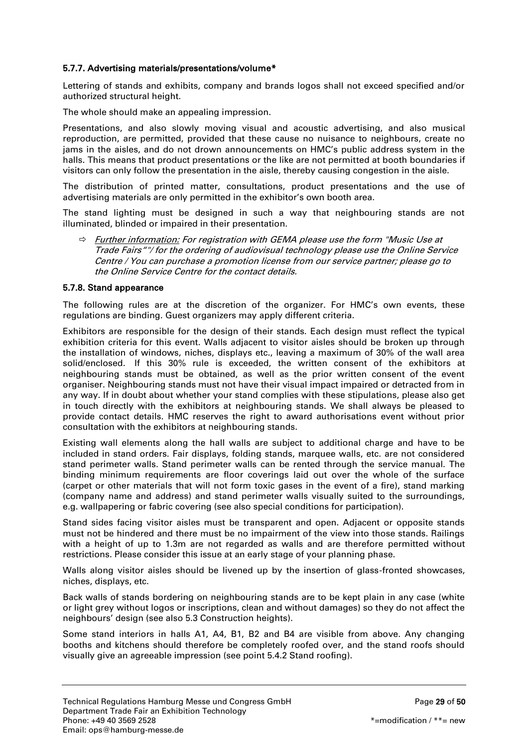## <span id="page-28-0"></span>5.7.7. Advertising materials/presentations/volume\*

Lettering of stands and exhibits, company and brands logos shall not exceed specified and/or authorized structural height.

The whole should make an appealing impression.

Presentations, and also slowly moving visual and acoustic advertising, and also musical reproduction, are permitted, provided that these cause no nuisance to neighbours, create no jams in the aisles, and do not drown announcements on HMC's public address system in the halls. This means that product presentations or the like are not permitted at booth boundaries if visitors can only follow the presentation in the aisle, thereby causing congestion in the aisle.

The distribution of printed matter, consultations, product presentations and the use of advertising materials are only permitted in the exhibitor's own booth area.

The stand lighting must be designed in such a way that neighbouring stands are not illuminated, blinded or impaired in their presentation.

☆ Further information: For registration with GEMA please use the form "Music Use at Trade Fairs""/ for the ordering of audiovisual technology please use the Online Service Centre / You can purchase a promotion license from our service partner; please go to the Online Service Centre for the contact details.

## <span id="page-28-1"></span>5.7.8. Stand appearance

The following rules are at the discretion of the organizer. For HMC's own events, these regulations are binding. Guest organizers may apply different criteria.

Exhibitors are responsible for the design of their stands. Each design must reflect the typical exhibition criteria for this event. Walls adjacent to visitor aisles should be broken up through the installation of windows, niches, displays etc., leaving a maximum of 30% of the wall area solid/enclosed. If this 30% rule is exceeded, the written consent of the exhibitors at neighbouring stands must be obtained, as well as the prior written consent of the event organiser. Neighbouring stands must not have their visual impact impaired or detracted from in any way. If in doubt about whether your stand complies with these stipulations, please also get in touch directly with the exhibitors at neighbouring stands. We shall always be pleased to provide contact details. HMC reserves the right to award authorisations event without prior consultation with the exhibitors at neighbouring stands.

Existing wall elements along the hall walls are subject to additional charge and have to be included in stand orders. Fair displays, folding stands, marquee walls, etc. are not considered stand perimeter walls. Stand perimeter walls can be rented through the service manual. The binding minimum requirements are floor coverings laid out over the whole of the surface (carpet or other materials that will not form toxic gases in the event of a fire), stand marking (company name and address) and stand perimeter walls visually suited to the surroundings, e.g. wallpapering or fabric covering (see also special conditions for participation).

Stand sides facing visitor aisles must be transparent and open. Adjacent or opposite stands must not be hindered and there must be no impairment of the view into those stands. Railings with a height of up to 1.3m are not regarded as walls and are therefore permitted without restrictions. Please consider this issue at an early stage of your planning phase.

Walls along visitor aisles should be livened up by the insertion of glass-fronted showcases, niches, displays, etc.

Back walls of stands bordering on neighbouring stands are to be kept plain in any case (white or light grey without logos or inscriptions, clean and without damages) so they do not affect the neighbours' design (see also 5.3 Construction heights).

Some stand interiors in halls A1, A4, B1, B2 and B4 are visible from above. Any changing booths and kitchens should therefore be completely roofed over, and the stand roofs should visually give an agreeable impression (see point 5.4.2 Stand roofing).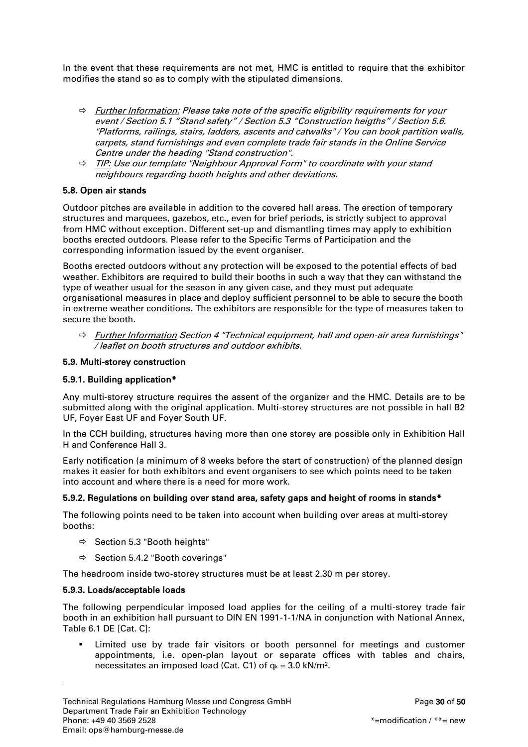In the event that these requirements are not met, HMC is entitled to require that the exhibitor modifies the stand so as to comply with the stipulated dimensions.

- $\Rightarrow$  Further Information: Please take note of the specific eligibility requirements for your event / Section 5.1 "Stand safety" / Section 5.3 "Construction heigths" / Section 5.6. "Platforms, railings, stairs, ladders, ascents and catwalks" / You can book partition walls, carpets, stand furnishings and even complete trade fair stands in the Online Service Centre under the heading "Stand construction".
- $\Rightarrow$  TIP: Use our template "Neighbour Approval Form" to coordinate with your stand neighbours regarding booth heights and other deviations.

# <span id="page-29-0"></span>5.8. Open air stands

Outdoor pitches are available in addition to the covered hall areas. The erection of temporary structures and marquees, gazebos, etc., even for brief periods, is strictly subject to approval from HMC without exception. Different set-up and dismantling times may apply to exhibition booths erected outdoors. Please refer to the Specific Terms of Participation and the corresponding information issued by the event organiser.

Booths erected outdoors without any protection will be exposed to the potential effects of bad weather. Exhibitors are required to build their booths in such a way that they can withstand the type of weather usual for the season in any given case, and they must put adequate organisational measures in place and deploy sufficient personnel to be able to secure the booth in extreme weather conditions. The exhibitors are responsible for the type of measures taken to secure the booth.

 $\Rightarrow$  Further Information Section 4 "Technical equipment, hall and open-air area furnishings" / leaflet on booth structures and outdoor exhibits.

## <span id="page-29-1"></span>5.9. Multi-storey construction

## <span id="page-29-2"></span>5.9.1. Building application\*

Any multi-storey structure requires the assent of the organizer and the HMC. Details are to be submitted along with the original application. Multi-storey structures are not possible in hall B2 UF, Foyer East UF and Foyer South UF.

In the CCH building, structures having more than one storey are possible only in Exhibition Hall H and Conference Hall 3.

Early notification (a minimum of 8 weeks before the start of construction) of the planned design makes it easier for both exhibitors and event organisers to see which points need to be taken into account and where there is a need for more work.

#### <span id="page-29-3"></span>5.9.2. Regulations on building over stand area, safety gaps and height of rooms in stands\*

The following points need to be taken into account when building over areas at multi-storey booths:

- $\Rightarrow$  Section 5.3 "Booth heights"
- $\Rightarrow$  Section 5.4.2 "Booth coverings"

The headroom inside two-storey structures must be at least 2.30 m per storey.

#### <span id="page-29-4"></span>5.9.3. Loads/acceptable loads

The following perpendicular imposed load applies for the ceiling of a multi-storey trade fair booth in an exhibition hall pursuant to DIN EN 1991-1-1/NA in conjunction with National Annex, Table 6.1 DE [Cat. C]:

 Limited use by trade fair visitors or booth personnel for meetings and customer appointments, i.e. open-plan layout or separate offices with tables and chairs, necessitates an imposed load (Cat. C1) of  $q_k = 3.0 \text{ kN/m}^2$ .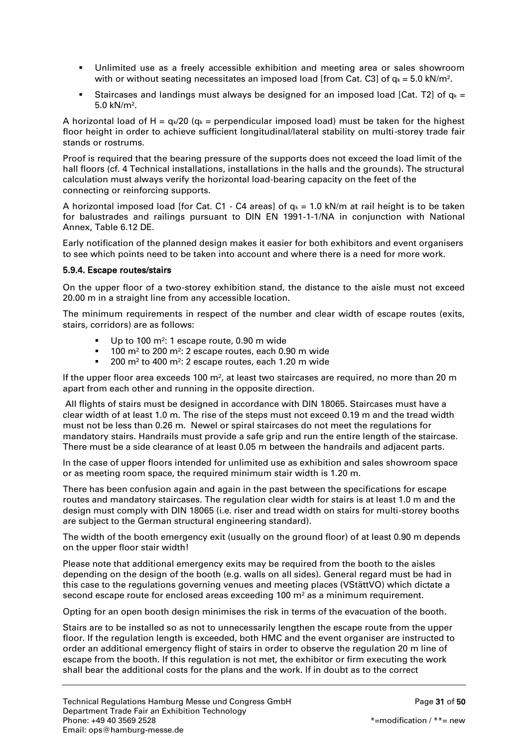- Unlimited use as a freely accessible exhibition and meeting area or sales showroom with or without seating necessitates an imposed load [from Cat. C3] of  $q_k = 5.0 \text{ kN/m}^2$ .
- Staircases and landings must always be designed for an imposed load [Cat. T2] of  $q_k =$ 5.0 kN/m².

A horizontal load of H =  $q_k/20$  ( $q_k$  = perpendicular imposed load) must be taken for the highest floor height in order to achieve sufficient longitudinal/lateral stability on multi-storey trade fair stands or rostrums.

Proof is required that the bearing pressure of the supports does not exceed the load limit of the hall floors (cf. 4 Technical installations, installations in the halls and the grounds). The structural calculation must always verify the horizontal load-bearing capacity on the feet of the connecting or reinforcing supports.

A horizontal imposed load [for Cat. C1 - C4 areas] of  $q_k = 1.0$  kN/m at rail height is to be taken for balustrades and railings pursuant to DIN EN 1991-1-1/NA in conjunction with National Annex, Table 6.12 DE.

Early notification of the planned design makes it easier for both exhibitors and event organisers to see which points need to be taken into account and where there is a need for more work.

## <span id="page-30-0"></span>5.9.4. Escape routes/stairs

On the upper floor of a two-storey exhibition stand, the distance to the aisle must not exceed 20.00 m in a straight line from any accessible location.

The minimum requirements in respect of the number and clear width of escape routes (exits, stairs, corridors) are as follows:

- Up to 100 m<sup>2</sup>: 1 escape route, 0.90 m wide
- $100$  m<sup>2</sup> to 200 m<sup>2</sup>: 2 escape routes, each 0.90 m wide
- 200 m<sup>2</sup> to 400 m<sup>2</sup>: 2 escape routes, each 1.20 m wide

If the upper floor area exceeds 100 m<sup>2</sup>, at least two staircases are required, no more than 20 m apart from each other and running in the opposite direction.

All flights of stairs must be designed in accordance with DIN 18065. Staircases must have a clear width of at least 1.0 m. The rise of the steps must not exceed 0.19 m and the tread width must not be less than 0.26 m. Newel or spiral staircases do not meet the regulations for mandatory stairs. Handrails must provide a safe grip and run the entire length of the staircase. There must be a side clearance of at least 0.05 m between the handrails and adjacent parts.

In the case of upper floors intended for unlimited use as exhibition and sales showroom space or as meeting room space, the required minimum stair width is 1.20 m.

There has been confusion again and again in the past between the specifications for escape routes and mandatory staircases. The regulation clear width for stairs is at least 1.0 m and the design must comply with DIN 18065 (i.e. riser and tread width on stairs for multi-storey booths are subject to the German structural engineering standard).

The width of the booth emergency exit (usually on the ground floor) of at least 0.90 m depends on the upper floor stair width!

Please note that additional emergency exits may be required from the booth to the aisles depending on the design of the booth (e.g. walls on all sides). General regard must be had in this case to the regulations governing venues and meeting places (VStättVO) which dictate a second escape route for enclosed areas exceeding 100 m² as a minimum requirement.

Opting for an open booth design minimises the risk in terms of the evacuation of the booth.

Stairs are to be installed so as not to unnecessarily lengthen the escape route from the upper floor. If the regulation length is exceeded, both HMC and the event organiser are instructed to order an additional emergency flight of stairs in order to observe the regulation 20 m line of escape from the booth. If this regulation is not met, the exhibitor or firm executing the work shall bear the additional costs for the plans and the work. If in doubt as to the correct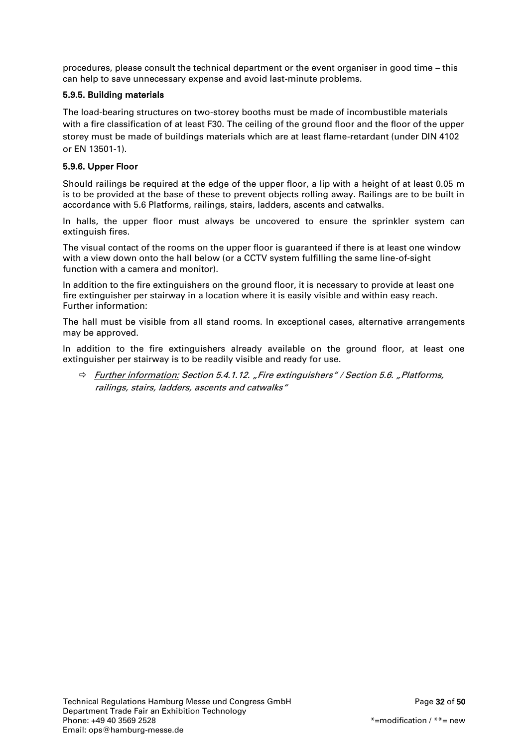procedures, please consult the technical department or the event organiser in good time – this can help to save unnecessary expense and avoid last-minute problems.

# <span id="page-31-0"></span>5.9.5. Building materials

The load-bearing structures on two-storey booths must be made of incombustible materials with a fire classification of at least F30. The ceiling of the ground floor and the floor of the upper storey must be made of buildings materials which are at least flame-retardant (under DIN 4102 or EN 13501-1).

## <span id="page-31-1"></span>5.9.6. Upper Floor

Should railings be required at the edge of the upper floor, a lip with a height of at least 0.05 m is to be provided at the base of these to prevent objects rolling away. Railings are to be built in accordance with 5.6 Platforms, railings, stairs, ladders, ascents and catwalks.

In halls, the upper floor must always be uncovered to ensure the sprinkler system can extinguish fires.

The visual contact of the rooms on the upper floor is guaranteed if there is at least one window with a view down onto the hall below (or a CCTV system fulfilling the same line-of-sight function with a camera and monitor).

In addition to the fire extinguishers on the ground floor, it is necessary to provide at least one fire extinguisher per stairway in a location where it is easily visible and within easy reach. Further information:

The hall must be visible from all stand rooms. In exceptional cases, alternative arrangements may be approved.

In addition to the fire extinguishers already available on the ground floor, at least one extinguisher per stairway is to be readily visible and ready for use.

 $\Rightarrow$  Further information: Section 5.4.1.12. "Fire extinguishers" / Section 5.6. "Platforms, railings, stairs, ladders, ascents and catwalks"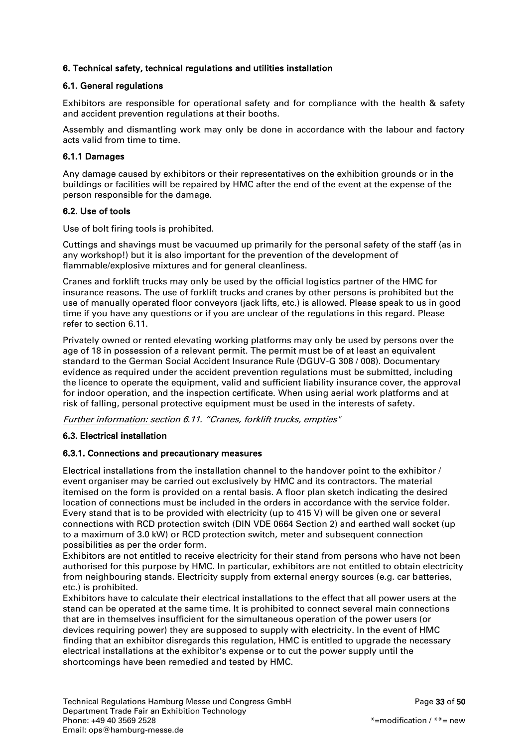# <span id="page-32-0"></span>6. Technical safety, technical regulations and utilities installation

# <span id="page-32-1"></span>6.1. General regulations

Exhibitors are responsible for operational safety and for compliance with the health & safety and accident prevention regulations at their booths.

Assembly and dismantling work may only be done in accordance with the labour and factory acts valid from time to time.

## <span id="page-32-2"></span>6.1.1 Damages

Any damage caused by exhibitors or their representatives on the exhibition grounds or in the buildings or facilities will be repaired by HMC after the end of the event at the expense of the person responsible for the damage.

## <span id="page-32-3"></span>6.2. Use of tools

Use of bolt firing tools is prohibited.

Cuttings and shavings must be vacuumed up primarily for the personal safety of the staff (as in any workshop!) but it is also important for the prevention of the development of flammable/explosive mixtures and for general cleanliness.

Cranes and forklift trucks may only be used by the official logistics partner of the HMC for insurance reasons. The use of forklift trucks and cranes by other persons is prohibited but the use of manually operated floor conveyors (jack lifts, etc.) is allowed. Please speak to us in good time if you have any questions or if you are unclear of the regulations in this regard. Please refer to section 6.11.

Privately owned or rented elevating working platforms may only be used by persons over the age of 18 in possession of a relevant permit. The permit must be of at least an equivalent standard to the German Social Accident Insurance Rule (DGUV-G 308 / 008). Documentary evidence as required under the accident prevention regulations must be submitted, including the licence to operate the equipment, valid and sufficient liability insurance cover, the approval for indoor operation, and the inspection certificate. When using aerial work platforms and at risk of falling, personal protective equipment must be used in the interests of safety.

Further information: section 6.11. "Cranes, forklift trucks, empties"

# <span id="page-32-4"></span>6.3. Electrical installation

# <span id="page-32-5"></span>6.3.1. Connections and precautionary measures

Electrical installations from the installation channel to the handover point to the exhibitor / event organiser may be carried out exclusively by HMC and its contractors. The material itemised on the form is provided on a rental basis. A floor plan sketch indicating the desired location of connections must be included in the orders in accordance with the service folder. Every stand that is to be provided with electricity (up to 415 V) will be given one or several connections with RCD protection switch (DIN VDE 0664 Section 2) and earthed wall socket (up to a maximum of 3.0 kW) or RCD protection switch, meter and subsequent connection possibilities as per the order form.

Exhibitors are not entitled to receive electricity for their stand from persons who have not been authorised for this purpose by HMC. In particular, exhibitors are not entitled to obtain electricity from neighbouring stands. Electricity supply from external energy sources (e.g. car batteries, etc.) is prohibited.

Exhibitors have to calculate their electrical installations to the effect that all power users at the stand can be operated at the same time. It is prohibited to connect several main connections that are in themselves insufficient for the simultaneous operation of the power users (or devices requiring power) they are supposed to supply with electricity. In the event of HMC finding that an exhibitor disregards this regulation, HMC is entitled to upgrade the necessary electrical installations at the exhibitor's expense or to cut the power supply until the shortcomings have been remedied and tested by HMC.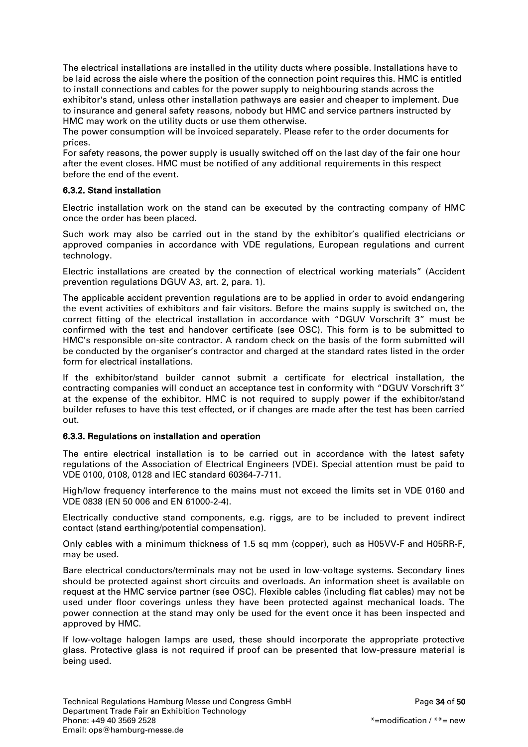The electrical installations are installed in the utility ducts where possible. Installations have to be laid across the aisle where the position of the connection point requires this. HMC is entitled to install connections and cables for the power supply to neighbouring stands across the exhibitor's stand, unless other installation pathways are easier and cheaper to implement. Due to insurance and general safety reasons, nobody but HMC and service partners instructed by HMC may work on the utility ducts or use them otherwise.

The power consumption will be invoiced separately. Please refer to the order documents for prices.

For safety reasons, the power supply is usually switched off on the last day of the fair one hour after the event closes. HMC must be notified of any additional requirements in this respect before the end of the event.

## <span id="page-33-0"></span>6.3.2. Stand installation

Electric installation work on the stand can be executed by the contracting company of HMC once the order has been placed.

Such work may also be carried out in the stand by the exhibitor's qualified electricians or approved companies in accordance with VDE regulations, European regulations and current technology.

Electric installations are created by the connection of electrical working materials" (Accident prevention regulations DGUV A3, art. 2, para. 1).

The applicable accident prevention regulations are to be applied in order to avoid endangering the event activities of exhibitors and fair visitors. Before the mains supply is switched on, the correct fitting of the electrical installation in accordance with "DGUV Vorschrift 3" must be confirmed with the test and handover certificate (see OSC). This form is to be submitted to HMC's responsible on-site contractor. A random check on the basis of the form submitted will be conducted by the organiser's contractor and charged at the standard rates listed in the order form for electrical installations.

If the exhibitor/stand builder cannot submit a certificate for electrical installation, the contracting companies will conduct an acceptance test in conformity with "DGUV Vorschrift 3" at the expense of the exhibitor. HMC is not required to supply power if the exhibitor/stand builder refuses to have this test effected, or if changes are made after the test has been carried out.

#### <span id="page-33-1"></span>6.3.3. Regulations on installation and operation

The entire electrical installation is to be carried out in accordance with the latest safety regulations of the Association of Electrical Engineers (VDE). Special attention must be paid to VDE 0100, 0108, 0128 and IEC standard 60364-7-711.

High/low frequency interference to the mains must not exceed the limits set in VDE 0160 and VDE 0838 (EN 50 006 and EN 61000-2-4).

Electrically conductive stand components, e.g. riggs, are to be included to prevent indirect contact (stand earthing/potential compensation).

Only cables with a minimum thickness of 1.5 sq mm (copper), such as H05VV-F and H05RR-F, may be used.

Bare electrical conductors/terminals may not be used in low-voltage systems. Secondary lines should be protected against short circuits and overloads. An information sheet is available on request at the HMC service partner (see OSC). Flexible cables (including flat cables) may not be used under floor coverings unless they have been protected against mechanical loads. The power connection at the stand may only be used for the event once it has been inspected and approved by HMC.

If low-voltage halogen lamps are used, these should incorporate the appropriate protective glass. Protective glass is not required if proof can be presented that low-pressure material is being used.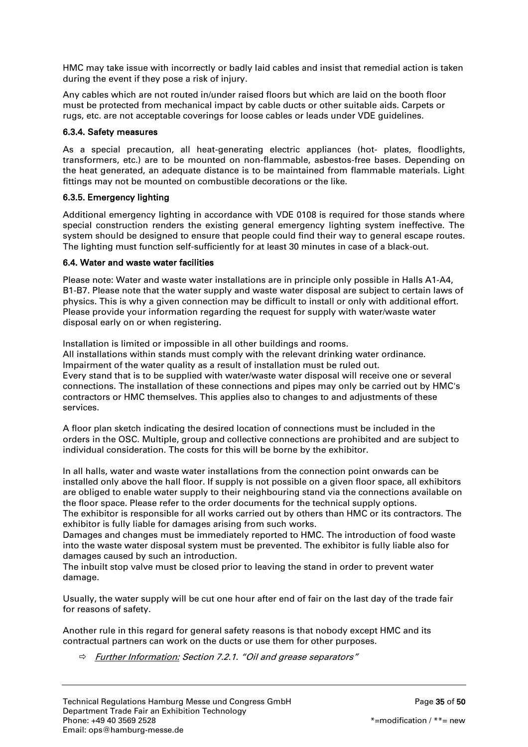HMC may take issue with incorrectly or badly laid cables and insist that remedial action is taken during the event if they pose a risk of injury.

Any cables which are not routed in/under raised floors but which are laid on the booth floor must be protected from mechanical impact by cable ducts or other suitable aids. Carpets or rugs, etc. are not acceptable coverings for loose cables or leads under VDE guidelines.

## <span id="page-34-0"></span>6.3.4. Safety measures

As a special precaution, all heat-generating electric appliances (hot- plates, floodlights, transformers, etc.) are to be mounted on non-flammable, asbestos-free bases. Depending on the heat generated, an adequate distance is to be maintained from flammable materials. Light fittings may not be mounted on combustible decorations or the like.

## <span id="page-34-1"></span>6.3.5. Emergency lighting

Additional emergency lighting in accordance with VDE 0108 is required for those stands where special construction renders the existing general emergency lighting system ineffective. The system should be designed to ensure that people could find their way to general escape routes. The lighting must function self-sufficiently for at least 30 minutes in case of a black-out.

## <span id="page-34-2"></span>6.4. Water and waste water facilities

Please note: Water and waste water installations are in principle only possible in Halls A1-A4, B1-B7. Please note that the water supply and waste water disposal are subject to certain laws of physics. This is why a given connection may be difficult to install or only with additional effort. Please provide your information regarding the request for supply with water/waste water disposal early on or when registering.

Installation is limited or impossible in all other buildings and rooms. All installations within stands must comply with the relevant drinking water ordinance. Impairment of the water quality as a result of installation must be ruled out. Every stand that is to be supplied with water/waste water disposal will receive one or several connections. The installation of these connections and pipes may only be carried out by HMC's contractors or HMC themselves. This applies also to changes to and adjustments of these services.

A floor plan sketch indicating the desired location of connections must be included in the orders in the OSC. Multiple, group and collective connections are prohibited and are subject to individual consideration. The costs for this will be borne by the exhibitor.

In all halls, water and waste water installations from the connection point onwards can be installed only above the hall floor. If supply is not possible on a given floor space, all exhibitors are obliged to enable water supply to their neighbouring stand via the connections available on the floor space. Please refer to the order documents for the technical supply options.

The exhibitor is responsible for all works carried out by others than HMC or its contractors. The exhibitor is fully liable for damages arising from such works.

Damages and changes must be immediately reported to HMC. The introduction of food waste into the waste water disposal system must be prevented. The exhibitor is fully liable also for damages caused by such an introduction.

The inbuilt stop valve must be closed prior to leaving the stand in order to prevent water damage.

Usually, the water supply will be cut one hour after end of fair on the last day of the trade fair for reasons of safety.

Another rule in this regard for general safety reasons is that nobody except HMC and its contractual partners can work on the ducts or use them for other purposes.

 $\Rightarrow$  Further Information: Section 7.2.1. "Oil and grease separators"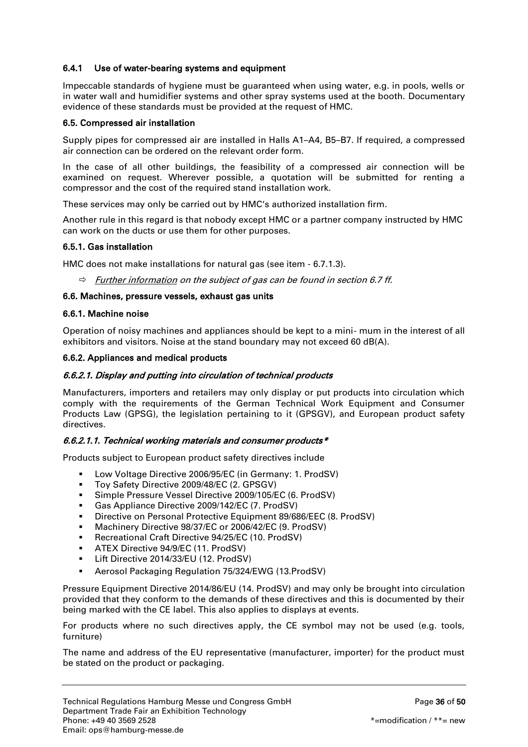# 6.4.1 Use of water-bearing systems and equipment

Impeccable standards of hygiene must be guaranteed when using water, e.g. in pools, wells or in water wall and humidifier systems and other spray systems used at the booth. Documentary evidence of these standards must be provided at the request of HMC.

## <span id="page-35-0"></span>6.5. Compressed air installation

Supply pipes for compressed air are installed in Halls A1–A4, B5–B7. If required, a compressed air connection can be ordered on the relevant order form.

In the case of all other buildings, the feasibility of a compressed air connection will be examined on request. Wherever possible, a quotation will be submitted for renting a compressor and the cost of the required stand installation work.

These services may only be carried out by HMC's authorized installation firm.

Another rule in this regard is that nobody except HMC or a partner company instructed by HMC can work on the ducts or use them for other purposes.

## <span id="page-35-1"></span>6.5.1. Gas installation

HMC does not make installations for natural gas (see item - 6.7.1.3).

 $\Rightarrow$  Further information on the subject of gas can be found in section 6.7 ff.

#### <span id="page-35-2"></span>6.6. Machines, pressure vessels, exhaust gas units

#### <span id="page-35-3"></span>6.6.1. Machine noise

Operation of noisy machines and appliances should be kept to a mini- mum in the interest of all exhibitors and visitors. Noise at the stand boundary may not exceed 60 dB(A).

#### <span id="page-35-4"></span>6.6.2. Appliances and medical products

#### 6.6.2.1. Display and putting into circulation of technical products

Manufacturers, importers and retailers may only display or put products into circulation which comply with the requirements of the German Technical Work Equipment and Consumer Products Law (GPSG), the legislation pertaining to it (GPSGV), and European product safety directives.

# 6.6.2.1.1. Technical working materials and consumer products $*$

Products subject to European product safety directives include

- **Low Voltage Directive 2006/95/EC (in Germany: 1. ProdSV)**
- **Toy Safety Directive 2009/48/EC (2. GPSGV)**
- Simple Pressure Vessel Directive 2009/105/EC (6. ProdSV)
- Gas Appliance Directive 2009/142/EC (7. ProdSV)
- **Directive on Personal Protective Equipment 89/686/EEC (8. ProdSV)**
- **Machinery Directive 98/37/EC or 2006/42/EC (9. ProdSV)**
- **Recreational Craft Directive 94/25/EC (10. ProdSV)**
- **ATEX Directive 94/9/EC (11. ProdSV)**
- Lift Directive 2014/33/EU (12. ProdSV)
- Aerosol Packaging Regulation 75/324/EWG (13.ProdSV)

Pressure Equipment Directive 2014/86/EU (14. ProdSV) and may only be brought into circulation provided that they conform to the demands of these directives and this is documented by their being marked with the CE label. This also applies to displays at events.

For products where no such directives apply, the CE symbol may not be used (e.g. tools, furniture)

The name and address of the EU representative (manufacturer, importer) for the product must be stated on the product or packaging.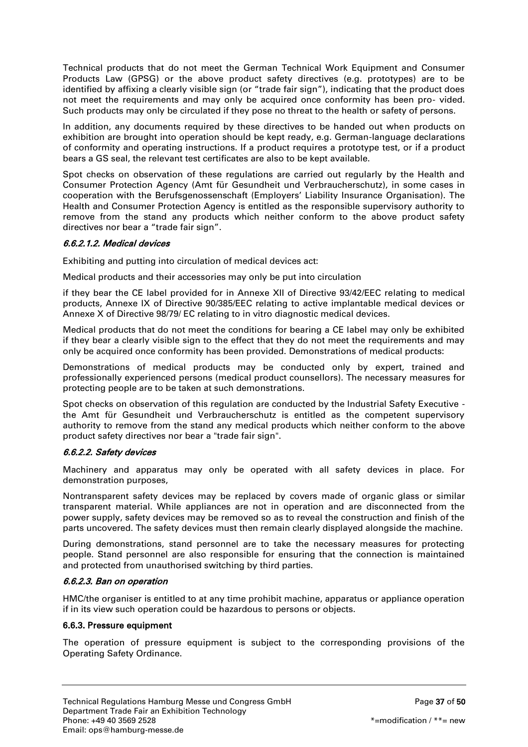Technical products that do not meet the German Technical Work Equipment and Consumer Products Law (GPSG) or the above product safety directives (e.g. prototypes) are to be identified by affixing a clearly visible sign (or "trade fair sign"), indicating that the product does not meet the requirements and may only be acquired once conformity has been pro- vided. Such products may only be circulated if they pose no threat to the health or safety of persons.

In addition, any documents required by these directives to be handed out when products on exhibition are brought into operation should be kept ready, e.g. German-language declarations of conformity and operating instructions. If a product requires a prototype test, or if a product bears a GS seal, the relevant test certificates are also to be kept available.

Spot checks on observation of these regulations are carried out regularly by the Health and Consumer Protection Agency (Amt für Gesundheit und Verbraucherschutz), in some cases in cooperation with the Berufsgenossenschaft (Employers' Liability Insurance Organisation). The Health and Consumer Protection Agency is entitled as the responsible supervisory authority to remove from the stand any products which neither conform to the above product safety directives nor bear a "trade fair sign".

# 6.6.2.1.2. Medical devices

Exhibiting and putting into circulation of medical devices act:

Medical products and their accessories may only be put into circulation

if they bear the CE label provided for in Annexe XII of Directive 93/42/EEC relating to medical products, Annexe IX of Directive 90/385/EEC relating to active implantable medical devices or Annexe X of Directive 98/79/ EC relating to in vitro diagnostic medical devices.

Medical products that do not meet the conditions for bearing a CE label may only be exhibited if they bear a clearly visible sign to the effect that they do not meet the requirements and may only be acquired once conformity has been provided. Demonstrations of medical products:

Demonstrations of medical products may be conducted only by expert, trained and professionally experienced persons (medical product counsellors). The necessary measures for protecting people are to be taken at such demonstrations.

Spot checks on observation of this regulation are conducted by the Industrial Safety Executive the Amt für Gesundheit und Verbraucherschutz is entitled as the competent supervisory authority to remove from the stand any medical products which neither conform to the above product safety directives nor bear a "trade fair sign".

# 6.6.2.2. Safety devices

Machinery and apparatus may only be operated with all safety devices in place. For demonstration purposes,

Nontransparent safety devices may be replaced by covers made of organic glass or similar transparent material. While appliances are not in operation and are disconnected from the power supply, safety devices may be removed so as to reveal the construction and finish of the parts uncovered. The safety devices must then remain clearly displayed alongside the machine.

During demonstrations, stand personnel are to take the necessary measures for protecting people. Stand personnel are also responsible for ensuring that the connection is maintained and protected from unauthorised switching by third parties.

# 6.6.2.3. Ban on operation

HMC/the organiser is entitled to at any time prohibit machine, apparatus or appliance operation if in its view such operation could be hazardous to persons or objects.

# <span id="page-36-0"></span>6.6.3. Pressure equipment

The operation of pressure equipment is subject to the corresponding provisions of the Operating Safety Ordinance.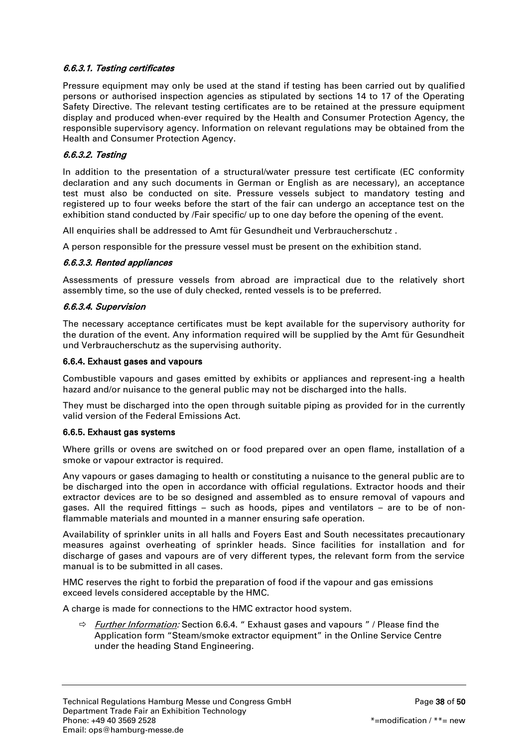# 6.6.3.1. Testing certificates

Pressure equipment may only be used at the stand if testing has been carried out by qualified persons or authorised inspection agencies as stipulated by sections 14 to 17 of the Operating Safety Directive. The relevant testing certificates are to be retained at the pressure equipment display and produced when-ever required by the Health and Consumer Protection Agency, the responsible supervisory agency. Information on relevant regulations may be obtained from the Health and Consumer Protection Agency.

## 6.6.3.2. Testing

In addition to the presentation of a structural/water pressure test certificate (EC conformity declaration and any such documents in German or English as are necessary), an acceptance test must also be conducted on site. Pressure vessels subject to mandatory testing and registered up to four weeks before the start of the fair can undergo an acceptance test on the exhibition stand conducted by /Fair specific/ up to one day before the opening of the event.

All enquiries shall be addressed to Amt für Gesundheit und Verbraucherschutz .

A person responsible for the pressure vessel must be present on the exhibition stand.

#### 6.6.3.3. Rented appliances

Assessments of pressure vessels from abroad are impractical due to the relatively short assembly time, so the use of duly checked, rented vessels is to be preferred.

#### 6.6.3.4. Supervision

The necessary acceptance certificates must be kept available for the supervisory authority for the duration of the event. Any information required will be supplied by the Amt für Gesundheit und Verbraucherschutz as the supervising authority.

#### <span id="page-37-0"></span>6.6.4. Exhaust gases and vapours

Combustible vapours and gases emitted by exhibits or appliances and represent-ing a health hazard and/or nuisance to the general public may not be discharged into the halls.

They must be discharged into the open through suitable piping as provided for in the currently valid version of the Federal Emissions Act.

#### <span id="page-37-1"></span>6.6.5. Exhaust gas systems

Where grills or ovens are switched on or food prepared over an open flame, installation of a smoke or vapour extractor is required.

Any vapours or gases damaging to health or constituting a nuisance to the general public are to be discharged into the open in accordance with official regulations. Extractor hoods and their extractor devices are to be so designed and assembled as to ensure removal of vapours and gases. All the required fittings – such as hoods, pipes and ventilators – are to be of nonflammable materials and mounted in a manner ensuring safe operation.

Availability of sprinkler units in all halls and Foyers East and South necessitates precautionary measures against overheating of sprinkler heads. Since facilities for installation and for discharge of gases and vapours are of very different types, the relevant form from the service manual is to be submitted in all cases.

HMC reserves the right to forbid the preparation of food if the vapour and gas emissions exceed levels considered acceptable by the HMC.

A charge is made for connections to the HMC extractor hood system.

 $\Rightarrow$  Further Information: Section 6.6.4. " Exhaust gases and vapours " / Please find the Application form "Steam/smoke extractor equipment" in the Online Service Centre under the heading Stand Engineering.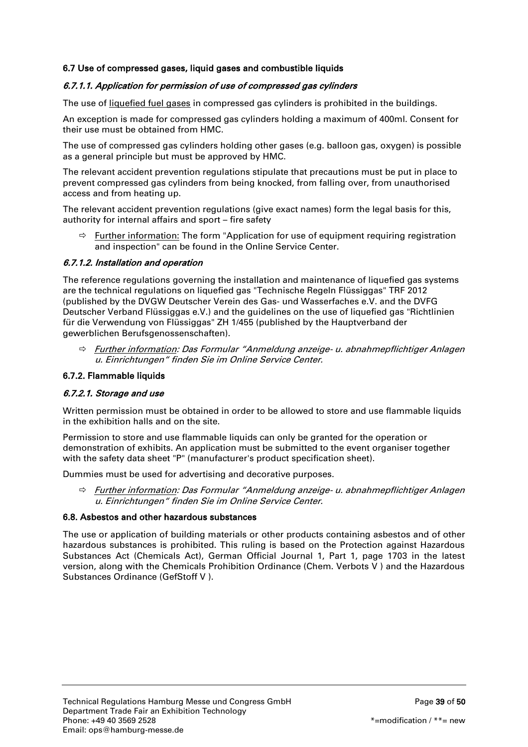# <span id="page-38-0"></span>6.7 Use of compressed gases, liquid gases and combustible liquids

# 6.7.1.1. Application for permission of use of compressed gas cylinders

The use of liquefied fuel gases in compressed gas cylinders is prohibited in the buildings.

An exception is made for compressed gas cylinders holding a maximum of 400ml. Consent for their use must be obtained from HMC.

The use of compressed gas cylinders holding other gases (e.g. balloon gas, oxygen) is possible as a general principle but must be approved by HMC.

The relevant accident prevention regulations stipulate that precautions must be put in place to prevent compressed gas cylinders from being knocked, from falling over, from unauthorised access and from heating up.

The relevant accident prevention regulations (give exact names) form the legal basis for this, authority for internal affairs and sport – fire safety

 $\Rightarrow$  Further information: The form "Application for use of equipment requiring registration and inspection" can be found in the Online Service Center.

# 6.7.1.2. Installation and operation

The reference regulations governing the installation and maintenance of liquefied gas systems are the technical regulations on liquefied gas "Technische Regeln Flüssiggas" TRF 2012 (published by the DVGW Deutscher Verein des Gas- und Wasserfaches e.V. and the DVFG Deutscher Verband Flüssiggas e.V.) and the guidelines on the use of liquefied gas "Richtlinien für die Verwendung von Flüssiggas" ZH 1/455 (published by the Hauptverband der gewerblichen Berufsgenossenschaften).

 $\Rightarrow$  Further information: Das Formular "Anmeldung anzeige- u. abnahmepflichtiger Anlagen u. Einrichtungen" finden Sie im Online Service Center.

# <span id="page-38-1"></span>6.7.2. Flammable liquids

#### 6.7.2.1. Storage and use

Written permission must be obtained in order to be allowed to store and use flammable liquids in the exhibition halls and on the site.

Permission to store and use flammable liquids can only be granted for the operation or demonstration of exhibits. An application must be submitted to the event organiser together with the safety data sheet "P" (manufacturer's product specification sheet).

Dummies must be used for advertising and decorative purposes.

 $\Rightarrow$  Further information: Das Formular "Anmeldung anzeige- u. abnahmepflichtiger Anlagen u. Einrichtungen" finden Sie im Online Service Center.

#### <span id="page-38-2"></span>6.8. Asbestos and other hazardous substances

The use or application of building materials or other products containing asbestos and of other hazardous substances is prohibited. This ruling is based on the Protection against Hazardous Substances Act (Chemicals Act), German Official Journal 1, Part 1, page 1703 in the latest version, along with the Chemicals Prohibition Ordinance (Chem. Verbots V ) and the Hazardous Substances Ordinance (GefStoff V ).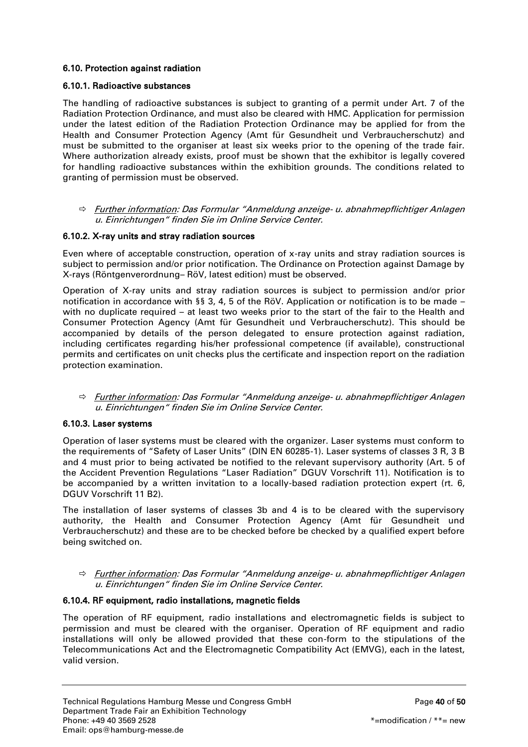# <span id="page-39-0"></span>6.10. Protection against radiation

## <span id="page-39-1"></span>6.10.1. Radioactive substances

The handling of radioactive substances is subject to granting of a permit under Art. 7 of the Radiation Protection Ordinance, and must also be cleared with HMC. Application for permission under the latest edition of the Radiation Protection Ordinance may be applied for from the Health and Consumer Protection Agency (Amt für Gesundheit und Verbraucherschutz) and must be submitted to the organiser at least six weeks prior to the opening of the trade fair. Where authorization already exists, proof must be shown that the exhibitor is legally covered for handling radioactive substances within the exhibition grounds. The conditions related to granting of permission must be observed.

 $\Rightarrow$  Further information: Das Formular "Anmeldung anzeige- u. abnahmepflichtiger Anlagen u. Einrichtungen" finden Sie im Online Service Center.

## <span id="page-39-2"></span>6.10.2. X-ray units and stray radiation sources

Even where of acceptable construction, operation of x-ray units and stray radiation sources is subject to permission and/or prior notification. The Ordinance on Protection against Damage by X-rays (Röntgenverordnung– RöV, latest edition) must be observed.

Operation of X-ray units and stray radiation sources is subject to permission and/or prior notification in accordance with §§ 3, 4, 5 of the RöV. Application or notification is to be made – with no duplicate required – at least two weeks prior to the start of the fair to the Health and Consumer Protection Agency (Amt für Gesundheit und Verbraucherschutz). This should be accompanied by details of the person delegated to ensure protection against radiation, including certificates regarding his/her professional competence (if available), constructional permits and certificates on unit checks plus the certificate and inspection report on the radiation protection examination.

 $\Rightarrow$  Further information: Das Formular "Anmeldung anzeige- u. abnahmepflichtiger Anlagen u. Einrichtungen" finden Sie im Online Service Center.

#### <span id="page-39-3"></span>6.10.3. Laser systems

Operation of laser systems must be cleared with the organizer. Laser systems must conform to the requirements of "Safety of Laser Units" (DIN EN 60285-1). Laser systems of classes 3 R, 3 B and 4 must prior to being activated be notified to the relevant supervisory authority (Art. 5 of the Accident Prevention Regulations "Laser Radiation" DGUV Vorschrift 11). Notification is to be accompanied by a written invitation to a locally-based radiation protection expert (rt. 6, DGUV Vorschrift 11 B2).

The installation of laser systems of classes 3b and 4 is to be cleared with the supervisory authority, the Health and Consumer Protection Agency (Amt für Gesundheit und Verbraucherschutz) and these are to be checked before be checked by a qualified expert before being switched on.

#### $\Rightarrow$  Further information: Das Formular "Anmeldung anzeige- u. abnahmepflichtiger Anlagen u. Einrichtungen" finden Sie im Online Service Center.

#### <span id="page-39-4"></span>6.10.4. RF equipment, radio installations, magnetic fields

The operation of RF equipment, radio installations and electromagnetic fields is subject to permission and must be cleared with the organiser. Operation of RF equipment and radio installations will only be allowed provided that these con-form to the stipulations of the Telecommunications Act and the Electromagnetic Compatibility Act (EMVG), each in the latest, valid version.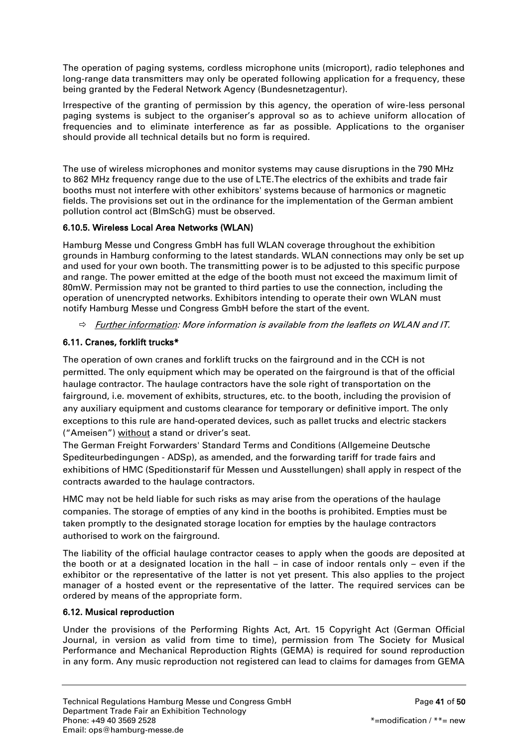The operation of paging systems, cordless microphone units (microport), radio telephones and long-range data transmitters may only be operated following application for a frequency, these being granted by the Federal Network Agency (Bundesnetzagentur).

Irrespective of the granting of permission by this agency, the operation of wire-less personal paging systems is subject to the organiser's approval so as to achieve uniform allocation of frequencies and to eliminate interference as far as possible. Applications to the organiser should provide all technical details but no form is required.

The use of wireless microphones and monitor systems may cause disruptions in the 790 MHz to 862 MHz frequency range due to the use of LTE.The electrics of the exhibits and trade fair booths must not interfere with other exhibitors' systems because of harmonics or magnetic fields. The provisions set out in the ordinance for the implementation of the German ambient pollution control act (BImSchG) must be observed.

# <span id="page-40-0"></span>6.10.5. Wireless Local Area Networks (WLAN)

Hamburg Messe und Congress GmbH has full WLAN coverage throughout the exhibition grounds in Hamburg conforming to the latest standards. WLAN connections may only be set up and used for your own booth. The transmitting power is to be adjusted to this specific purpose and range. The power emitted at the edge of the booth must not exceed the maximum limit of 80mW. Permission may not be granted to third parties to use the connection, including the operation of unencrypted networks. Exhibitors intending to operate their own WLAN must notify Hamburg Messe und Congress GmbH before the start of the event.

 $\Rightarrow$  Further information: More information is available from the leaflets on WLAN and IT.

# <span id="page-40-1"></span>6.11. Cranes, forklift trucks\*

The operation of own cranes and forklift trucks on the fairground and in the CCH is not permitted. The only equipment which may be operated on the fairground is that of the official haulage contractor. The haulage contractors have the sole right of transportation on the fairground, i.e. movement of exhibits, structures, etc. to the booth, including the provision of any auxiliary equipment and customs clearance for temporary or definitive import. The only exceptions to this rule are hand-operated devices, such as pallet trucks and electric stackers ("Ameisen") without a stand or driver's seat.

The German Freight Forwarders' Standard Terms and Conditions (Allgemeine Deutsche Spediteurbedingungen - ADSp), as amended, and the forwarding tariff for trade fairs and exhibitions of HMC (Speditionstarif für Messen und Ausstellungen) shall apply in respect of the contracts awarded to the haulage contractors.

HMC may not be held liable for such risks as may arise from the operations of the haulage companies. The storage of empties of any kind in the booths is prohibited. Empties must be taken promptly to the designated storage location for empties by the haulage contractors authorised to work on the fairground.

The liability of the official haulage contractor ceases to apply when the goods are deposited at the booth or at a designated location in the hall – in case of indoor rentals only – even if the exhibitor or the representative of the latter is not yet present. This also applies to the project manager of a hosted event or the representative of the latter. The required services can be ordered by means of the appropriate form.

# <span id="page-40-2"></span>6.12. Musical reproduction

Under the provisions of the Performing Rights Act, Art. 15 Copyright Act (German Official Journal, in version as valid from time to time), permission from The Society for Musical Performance and Mechanical Reproduction Rights (GEMA) is required for sound reproduction in any form. Any music reproduction not registered can lead to claims for damages from GEMA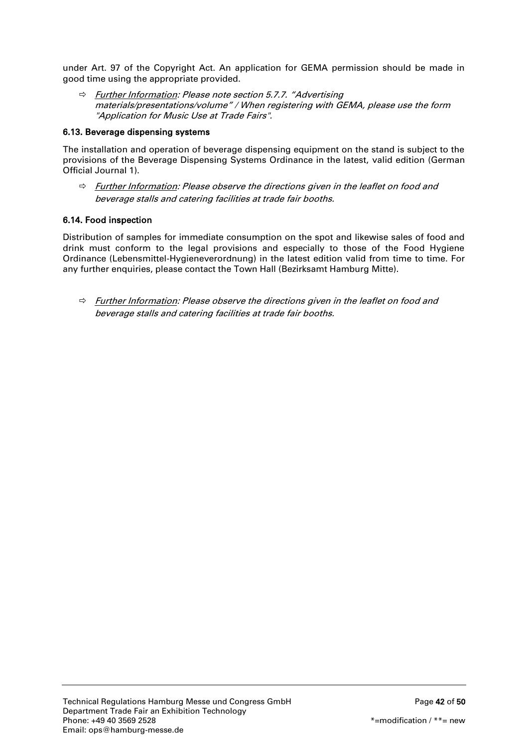under Art. 97 of the Copyright Act. An application for GEMA permission should be made in good time using the appropriate provided.

 $\Rightarrow$  Further Information: Please note section 5.7.7. "Advertising materials/presentations/volume" / When registering with GEMA, please use the form "Application for Music Use at Trade Fairs".

# <span id="page-41-0"></span>6.13. Beverage dispensing systems

The installation and operation of beverage dispensing equipment on the stand is subject to the provisions of the Beverage Dispensing Systems Ordinance in the latest, valid edition (German Official Journal 1).

 $\Rightarrow$  Further Information: Please observe the directions given in the leaflet on food and beverage stalls and catering facilities at trade fair booths.

# <span id="page-41-1"></span>6.14. Food inspection

Distribution of samples for immediate consumption on the spot and likewise sales of food and drink must conform to the legal provisions and especially to those of the Food Hygiene Ordinance (Lebensmittel-Hygieneverordnung) in the latest edition valid from time to time. For any further enquiries, please contact the Town Hall (Bezirksamt Hamburg Mitte).

 $\Rightarrow$  Further Information: Please observe the directions given in the leaflet on food and beverage stalls and catering facilities at trade fair booths.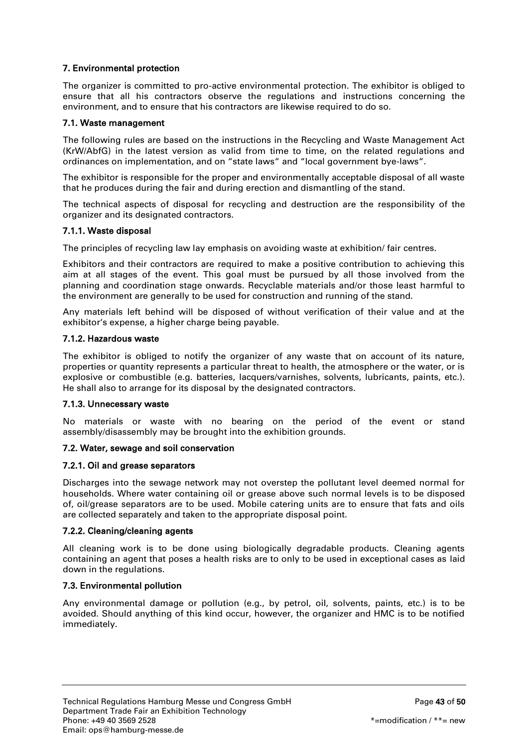# <span id="page-42-0"></span>7. Environmental protection

The organizer is committed to pro-active environmental protection. The exhibitor is obliged to ensure that all his contractors observe the regulations and instructions concerning the environment, and to ensure that his contractors are likewise required to do so.

## <span id="page-42-1"></span>7.1. Waste management

The following rules are based on the instructions in the Recycling and Waste Management Act (KrW/AbfG) in the latest version as valid from time to time, on the related regulations and ordinances on implementation, and on "state laws" and "local government bye-laws".

The exhibitor is responsible for the proper and environmentally acceptable disposal of all waste that he produces during the fair and during erection and dismantling of the stand.

The technical aspects of disposal for recycling and destruction are the responsibility of the organizer and its designated contractors.

## <span id="page-42-2"></span>7.1.1. Waste disposal

The principles of recycling law lay emphasis on avoiding waste at exhibition/ fair centres.

Exhibitors and their contractors are required to make a positive contribution to achieving this aim at all stages of the event. This goal must be pursued by all those involved from the planning and coordination stage onwards. Recyclable materials and/or those least harmful to the environment are generally to be used for construction and running of the stand.

Any materials left behind will be disposed of without verification of their value and at the exhibitor's expense, a higher charge being payable.

#### <span id="page-42-3"></span>7.1.2. Hazardous waste

The exhibitor is obliged to notify the organizer of any waste that on account of its nature, properties or quantity represents a particular threat to health, the atmosphere or the water, or is explosive or combustible (e.g. batteries, lacquers/varnishes, solvents, lubricants, paints, etc.). He shall also to arrange for its disposal by the designated contractors.

#### <span id="page-42-4"></span>7.1.3. Unnecessary waste

No materials or waste with no bearing on the period of the event or stand assembly/disassembly may be brought into the exhibition grounds.

#### <span id="page-42-5"></span>7.2. Water, sewage and soil conservation

#### <span id="page-42-6"></span>7.2.1. Oil and grease separators

Discharges into the sewage network may not overstep the pollutant level deemed normal for households. Where water containing oil or grease above such normal levels is to be disposed of, oil/grease separators are to be used. Mobile catering units are to ensure that fats and oils are collected separately and taken to the appropriate disposal point.

#### <span id="page-42-7"></span>7.2.2. Cleaning/cleaning agents

All cleaning work is to be done using biologically degradable products. Cleaning agents containing an agent that poses a health risks are to only to be used in exceptional cases as laid down in the regulations.

# <span id="page-42-8"></span>7.3. Environmental pollution

Any environmental damage or pollution (e.g., by petrol, oil, solvents, paints, etc.) is to be avoided. Should anything of this kind occur, however, the organizer and HMC is to be notified immediately.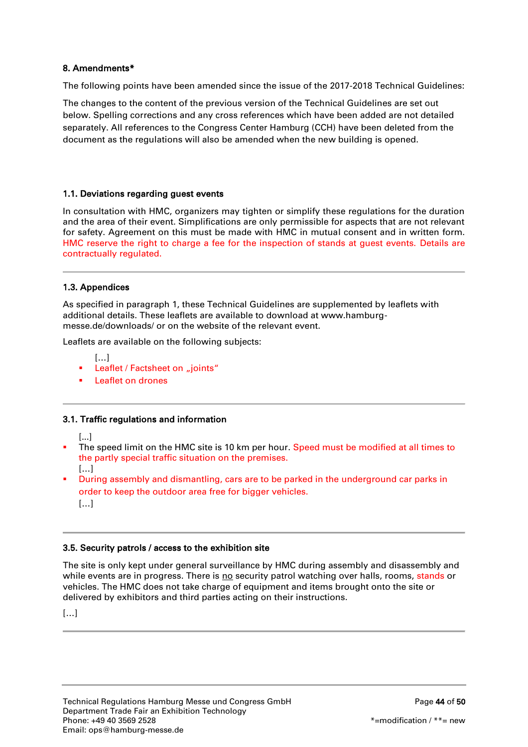# <span id="page-43-0"></span>8. Amendments\*

The following points have been amended since the issue of the 2017-2018 Technical Guidelines:

The changes to the content of the previous version of the Technical Guidelines are set out below. Spelling corrections and any cross references which have been added are not detailed separately. All references to the Congress Center Hamburg (CCH) have been deleted from the document as the regulations will also be amended when the new building is opened.

# 1.1. Deviations regarding guest events

In consultation with HMC, organizers may tighten or simplify these regulations for the duration and the area of their event. Simplifications are only permissible for aspects that are not relevant for safety. Agreement on this must be made with HMC in mutual consent and in written form. HMC reserve the right to charge a fee for the inspection of stands at guest events. Details are contractually regulated.

# 1.3. Appendices

As specified in paragraph 1, these Technical Guidelines are supplemented by leaflets with additional details. These leaflets are available to download at www.hamburgmesse.de/downloads/ or on the website of the relevant event.

Leaflets are available on the following subjects:

- […]
- Leaflet / Factsheet on "joints"
- **Leaflet on drones**

#### 3.1. Traffic regulations and information

[...]

- The speed limit on the HMC site is 10 km per hour. Speed must be modified at all times to the partly special traffic situation on the premises. […]
- During assembly and dismantling, cars are to be parked in the underground car parks in order to keep the outdoor area free for bigger vehicles.

[…]

#### 3.5. Security patrols / access to the exhibition site

The site is only kept under general surveillance by HMC during assembly and disassembly and while events are in progress. There is no security patrol watching over halls, rooms, stands or vehicles. The HMC does not take charge of equipment and items brought onto the site or delivered by exhibitors and third parties acting on their instructions.

[…]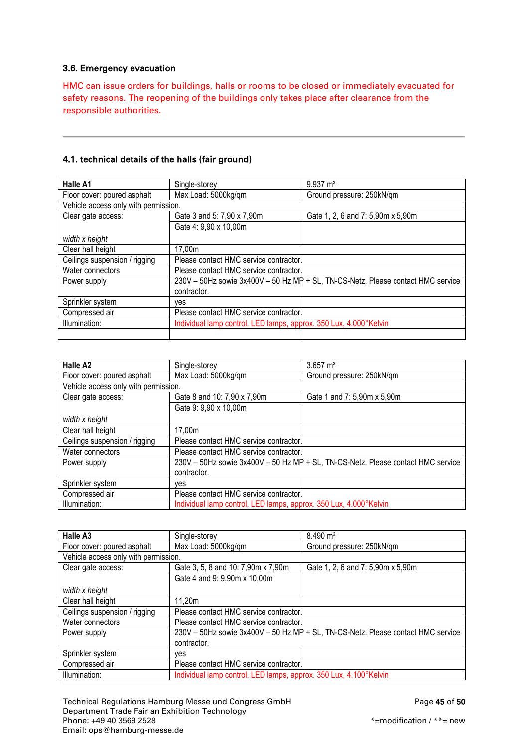## 3.6. Emergency evacuation

HMC can issue orders for buildings, halls or rooms to be closed or immediately evacuated for safety reasons. The reopening of the buildings only takes place after clearance from the responsible authorities.

## 4.1. technical details of the halls (fair ground)

| <b>Halle A1</b>                      | Single-storey                                                                    | $9.937 \text{ m}^2$               |
|--------------------------------------|----------------------------------------------------------------------------------|-----------------------------------|
| Floor cover: poured asphalt          | Max Load: 5000kg/qm                                                              | Ground pressure: 250kN/qm         |
| Vehicle access only with permission. |                                                                                  |                                   |
| Clear gate access:                   | Gate 3 and 5: 7,90 x 7,90m                                                       | Gate 1, 2, 6 and 7: 5,90m x 5,90m |
|                                      | Gate 4: 9,90 x 10,00m                                                            |                                   |
| width x height                       |                                                                                  |                                   |
| Clear hall height                    | 17,00m                                                                           |                                   |
| Ceilings suspension / rigging        | Please contact HMC service contractor.                                           |                                   |
| Water connectors                     | Please contact HMC service contractor.                                           |                                   |
| Power supply                         | 230V - 50Hz sowie 3x400V - 50 Hz MP + SL, TN-CS-Netz. Please contact HMC service |                                   |
|                                      | contractor.                                                                      |                                   |
| Sprinkler system                     | ves                                                                              |                                   |
| Compressed air                       | Please contact HMC service contractor.                                           |                                   |
| Illumination:                        | Individual lamp control. LED lamps, approx. 350 Lux, 4.000°Kelvin                |                                   |
|                                      |                                                                                  |                                   |

| Halle A <sub>2</sub>                 | Single-storey                                                                    | $3.657 \text{ m}^2$         |
|--------------------------------------|----------------------------------------------------------------------------------|-----------------------------|
| Floor cover: poured asphalt          | Max Load: 5000kg/qm                                                              | Ground pressure: 250kN/qm   |
| Vehicle access only with permission. |                                                                                  |                             |
| Clear gate access:                   | Gate 8 and 10: 7,90 x 7,90m                                                      | Gate 1 and 7: 5,90m x 5,90m |
|                                      | Gate 9: 9,90 x 10,00m                                                            |                             |
| width x height                       |                                                                                  |                             |
| Clear hall height                    | 17,00m                                                                           |                             |
| Ceilings suspension / rigging        | Please contact HMC service contractor.                                           |                             |
| Water connectors                     | Please contact HMC service contractor.                                           |                             |
| Power supply                         | 230V - 50Hz sowie 3x400V - 50 Hz MP + SL, TN-CS-Netz. Please contact HMC service |                             |
|                                      | contractor.                                                                      |                             |
| Sprinkler system                     | ves                                                                              |                             |
| Compressed air                       | Please contact HMC service contractor.                                           |                             |
| Illumination:                        | Individual lamp control. LED lamps, approx. 350 Lux, 4.000°Kelvin                |                             |

| Halle A3                             | Single-storey                                                                    | $8.490 \; \text{m}^2$             |
|--------------------------------------|----------------------------------------------------------------------------------|-----------------------------------|
| Floor cover: poured asphalt          | Max Load: 5000kg/qm                                                              | Ground pressure: 250kN/qm         |
| Vehicle access only with permission. |                                                                                  |                                   |
| Clear gate access:                   | Gate 3, 5, 8 and 10: 7,90m x 7,90m                                               | Gate 1, 2, 6 and 7: 5,90m x 5,90m |
|                                      | Gate 4 and 9: 9,90m x 10,00m                                                     |                                   |
| width x height                       |                                                                                  |                                   |
| Clear hall height                    | 11,20m                                                                           |                                   |
| Ceilings suspension / rigging        | Please contact HMC service contractor.                                           |                                   |
| Water connectors                     | Please contact HMC service contractor.                                           |                                   |
| Power supply                         | 230V - 50Hz sowie 3x400V - 50 Hz MP + SL, TN-CS-Netz. Please contact HMC service |                                   |
|                                      | contractor.                                                                      |                                   |
| Sprinkler system                     | ves                                                                              |                                   |
| Compressed air                       | Please contact HMC service contractor.                                           |                                   |
| Illumination:                        | Individual lamp control. LED lamps, approx. 350 Lux, 4.100°Kelvin                |                                   |

Technical Regulations Hamburg Messe und Congress GmbH Page 45 of 50 Department Trade Fair an Exhibition Technology<br>Phone: +49 40 3569 2528 Email: ops@hamburg-messe.de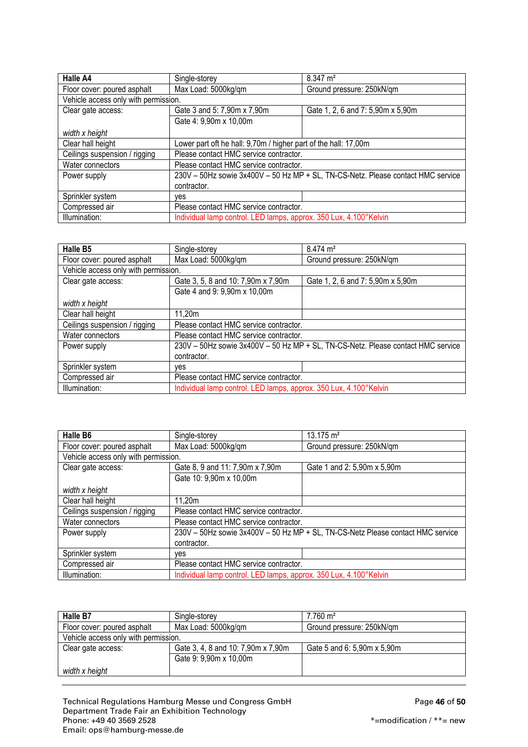| Halle A4                             | Single-storey                                                                    | $8.347 \text{ m}^2$               |
|--------------------------------------|----------------------------------------------------------------------------------|-----------------------------------|
| Floor cover: poured asphalt          | Max Load: 5000kg/qm                                                              | Ground pressure: 250kN/qm         |
| Vehicle access only with permission. |                                                                                  |                                   |
| Clear gate access:                   | Gate 3 and 5: 7,90m x 7,90m                                                      | Gate 1, 2, 6 and 7: 5,90m x 5,90m |
|                                      | Gate 4: 9,90m x 10,00m                                                           |                                   |
| width x height                       |                                                                                  |                                   |
| Clear hall height                    | Lower part oft he hall: 9,70m / higher part of the hall: 17,00m                  |                                   |
| Ceilings suspension / rigging        | Please contact HMC service contractor.                                           |                                   |
| Water connectors                     | Please contact HMC service contractor.                                           |                                   |
| Power supply                         | 230V - 50Hz sowie 3x400V - 50 Hz MP + SL, TN-CS-Netz. Please contact HMC service |                                   |
|                                      | contractor.                                                                      |                                   |
| Sprinkler system                     | ves                                                                              |                                   |
| Compressed air                       | Please contact HMC service contractor.                                           |                                   |
| Illumination:                        | Individual lamp control. LED lamps, approx. 350 Lux, 4.100°Kelvin                |                                   |

| Halle B5                             | Single-storey                                                                    | $8.474 \text{ m}^2$               |
|--------------------------------------|----------------------------------------------------------------------------------|-----------------------------------|
| Floor cover: poured asphalt          | Max Load: 5000kg/qm                                                              | Ground pressure: 250kN/qm         |
| Vehicle access only with permission. |                                                                                  |                                   |
| Clear gate access:                   | Gate 3, 5, 8 and 10: 7,90m x 7,90m                                               | Gate 1, 2, 6 and 7: 5,90m x 5,90m |
|                                      | Gate 4 and 9: 9,90m x 10,00m                                                     |                                   |
| width x height                       |                                                                                  |                                   |
| Clear hall height                    | 11,20m                                                                           |                                   |
| Ceilings suspension / rigging        | Please contact HMC service contractor.                                           |                                   |
| Water connectors                     | Please contact HMC service contractor.                                           |                                   |
| Power supply                         | 230V - 50Hz sowie 3x400V - 50 Hz MP + SL, TN-CS-Netz. Please contact HMC service |                                   |
|                                      | contractor.                                                                      |                                   |
| Sprinkler system                     | ves                                                                              |                                   |
| Compressed air                       | Please contact HMC service contractor.                                           |                                   |
| Illumination:                        | Individual lamp control. LED lamps, approx. 350 Lux, 4.100°Kelvin                |                                   |

| Halle B6                             | Single-storey                                                                   | $13.175 \text{ m}^2$        |
|--------------------------------------|---------------------------------------------------------------------------------|-----------------------------|
| Floor cover: poured asphalt          | Max Load: 5000kg/qm                                                             | Ground pressure: 250kN/qm   |
| Vehicle access only with permission. |                                                                                 |                             |
| Clear gate access:                   | Gate 8, 9 and 11: 7,90m x 7,90m                                                 | Gate 1 and 2: 5,90m x 5,90m |
|                                      | Gate 10: 9,90m x 10,00m                                                         |                             |
| width x height                       |                                                                                 |                             |
| Clear hall height                    | 11,20m                                                                          |                             |
| Ceilings suspension / rigging        | Please contact HMC service contractor.                                          |                             |
| Water connectors                     | Please contact HMC service contractor.                                          |                             |
| Power supply                         | 230V - 50Hz sowie 3x400V - 50 Hz MP + SL, TN-CS-Netz Please contact HMC service |                             |
|                                      | contractor.                                                                     |                             |
| Sprinkler system                     | ves                                                                             |                             |
| Compressed air                       | Please contact HMC service contractor.                                          |                             |
| Illumination:                        | Individual lamp control. LED lamps, approx. 350 Lux, 4.100°Kelvin               |                             |

| Halle B7                             | Single-storey                      | $7.760 \text{ m}^2$         |
|--------------------------------------|------------------------------------|-----------------------------|
| Floor cover: poured asphalt          | Max Load: 5000kg/qm                | Ground pressure: 250kN/gm   |
| Vehicle access only with permission. |                                    |                             |
| Clear gate access:                   | Gate 3, 4, 8 and 10: 7,90m x 7,90m | Gate 5 and 6: 5,90m x 5,90m |
|                                      | Gate 9: 9,90m x 10,00m             |                             |
| width x height                       |                                    |                             |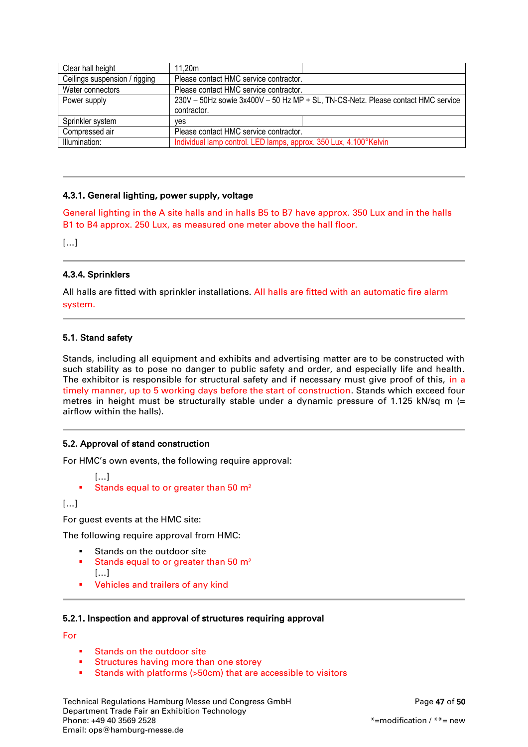| Clear hall height             | 11.20m                                                                           |  |
|-------------------------------|----------------------------------------------------------------------------------|--|
| Ceilings suspension / rigging | Please contact HMC service contractor.                                           |  |
| Water connectors              | Please contact HMC service contractor.                                           |  |
| Power supply                  | 230V - 50Hz sowie 3x400V - 50 Hz MP + SL, TN-CS-Netz. Please contact HMC service |  |
|                               | contractor.                                                                      |  |
| Sprinkler system              | ves                                                                              |  |
| Compressed air                | Please contact HMC service contractor.                                           |  |
| Illumination:                 | Individual lamp control. LED lamps, approx. 350 Lux, 4.100°Kelvin                |  |

## 4.3.1. General lighting, power supply, voltage

General lighting in the A site halls and in halls B5 to B7 have approx. 350 Lux and in the halls B1 to B4 approx. 250 Lux, as measured one meter above the hall floor.

 $[...]$ 

## 4.3.4. Sprinklers

All halls are fitted with sprinkler installations. All halls are fitted with an automatic fire alarm system.

## 5.1. Stand safety

Stands, including all equipment and exhibits and advertising matter are to be constructed with such stability as to pose no danger to public safety and order, and especially life and health. The exhibitor is responsible for structural safety and if necessary must give proof of this, in a timely manner, up to 5 working days before the start of construction. Stands which exceed four metres in height must be structurally stable under a dynamic pressure of 1.125 kN/sq m  $(=$ airflow within the halls).

#### 5.2. Approval of stand construction

For HMC's own events, the following require approval:

- […]
- Stands equal to or greater than 50 m²

[…]

For guest events at the HMC site:

The following require approval from HMC:

- Stands on the outdoor site Stands equal to or greater than 50 m²
- […]
- Vehicles and trailers of any kind

#### 5.2.1. Inspection and approval of structures requiring approval

For

- Stands on the outdoor site
- Structures having more than one storey
- Stands with platforms (>50cm) that are accessible to visitors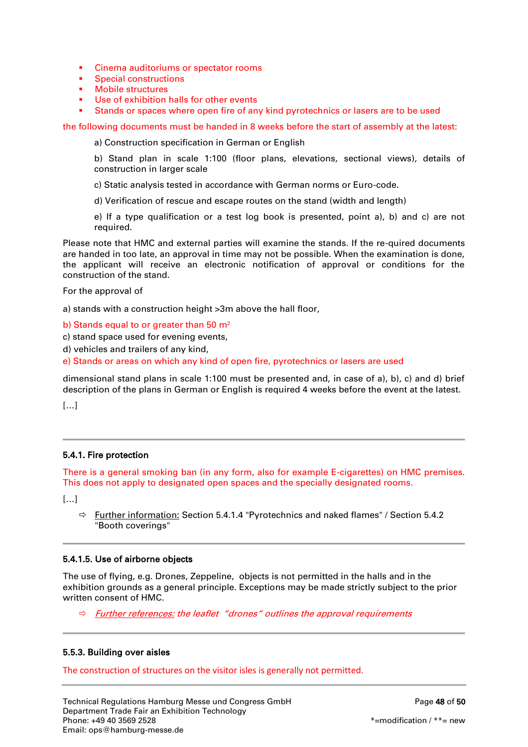- **Cinema auditoriums or spectator rooms**
- Special constructions<br>• Mobile structures
- Mobile structures
- Use of exhibition halls for other events
- Stands or spaces where open fire of any kind pyrotechnics or lasers are to be used

the following documents must be handed in 8 weeks before the start of assembly at the latest:

a) Construction specification in German or English

b) Stand plan in scale 1:100 (floor plans, elevations, sectional views), details of construction in larger scale

- c) Static analysis tested in accordance with German norms or Euro-code.
- d) Verification of rescue and escape routes on the stand (width and length)

e) If a type qualification or a test log book is presented, point a), b) and c) are not required.

Please note that HMC and external parties will examine the stands. If the re-quired documents are handed in too late, an approval in time may not be possible. When the examination is done, the applicant will receive an electronic notification of approval or conditions for the construction of the stand.

For the approval of

a) stands with a construction height >3m above the hall floor,

b) Stands equal to or greater than 50 m²

c) stand space used for evening events,

d) vehicles and trailers of any kind,

e) Stands or areas on which any kind of open fire, pyrotechnics or lasers are used

dimensional stand plans in scale 1:100 must be presented and, in case of a), b), c) and d) brief description of the plans in German or English is required 4 weeks before the event at the latest.

 $[...]$ 

#### 5.4.1. Fire protection

There is a general smoking ban (in any form, also for example E-cigarettes) on HMC premises. This does not apply to designated open spaces and the specially designated rooms.

[…]

 $\Rightarrow$  Further information: Section 5.4.1.4 "Pyrotechnics and naked flames" / Section 5.4.2 "Booth coverings"

#### 5.4.1.5. Use of airborne objects

The use of flying, e.g. Drones, Zeppeline, objects is not permitted in the halls and in the exhibition grounds as a general principle. Exceptions may be made strictly subject to the prior written consent of HMC.

 $\Rightarrow$  Further references: the leaflet "drones" outlines the approval requirements

#### 5.5.3. Building over aisles

The construction of structures on the visitor isles is generally not permitted.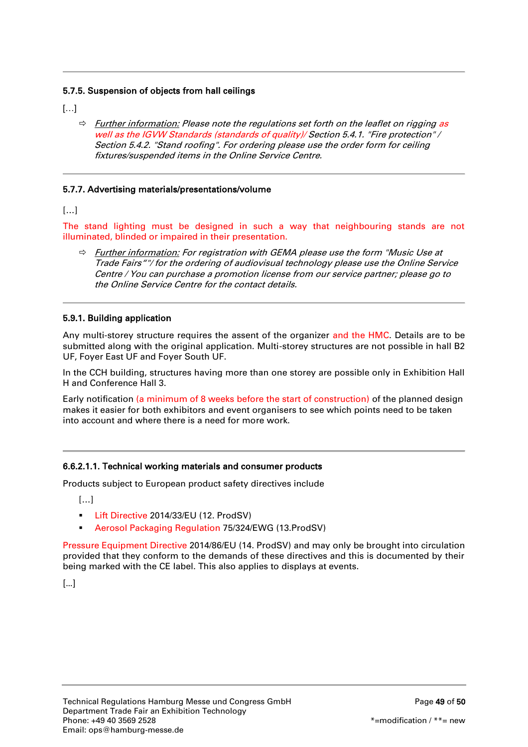# 5.7.5. Suspension of objects from hall ceilings

[…]

 $\Rightarrow$  Further information: Please note the regulations set forth on the leaflet on rigging as well as the IGVW Standards (standards of quality)/ Section 5.4.1. "Fire protection" / Section 5.4.2. "Stand roofing". For ordering please use the order form for ceiling fixtures/suspended items in the Online Service Centre.

# 5.7.7. Advertising materials/presentations/volume

[…]

The stand lighting must be designed in such a way that neighbouring stands are not illuminated, blinded or impaired in their presentation.

 $\Rightarrow$  Further information: For registration with GEMA please use the form "Music Use at Trade Fairs""/ for the ordering of audiovisual technology please use the Online Service Centre / You can purchase a promotion license from our service partner; please go to the Online Service Centre for the contact details.

#### <span id="page-48-0"></span>5.9.1. Building application

Any multi-storey structure requires the assent of the organizer and the HMC. Details are to be submitted along with the original application. Multi-storey structures are not possible in hall B2 UF, Foyer East UF and Foyer South UF.

In the CCH building, structures having more than one storey are possible only in Exhibition Hall H and Conference Hall 3.

Early notification (a minimum of 8 weeks before the start of construction) of the planned design makes it easier for both exhibitors and event organisers to see which points need to be taken into account and where there is a need for more work.

# 6.6.2.1.1. Technical working materials and consumer products

Products subject to European product safety directives include

[…]

- **Lift Directive 2014/33/EU (12. ProdSV)**
- Aerosol Packaging Regulation 75/324/EWG (13.ProdSV)

Pressure Equipment Directive 2014/86/EU (14. ProdSV) and may only be brought into circulation provided that they conform to the demands of these directives and this is documented by their being marked with the CE label. This also applies to displays at events.

[…]